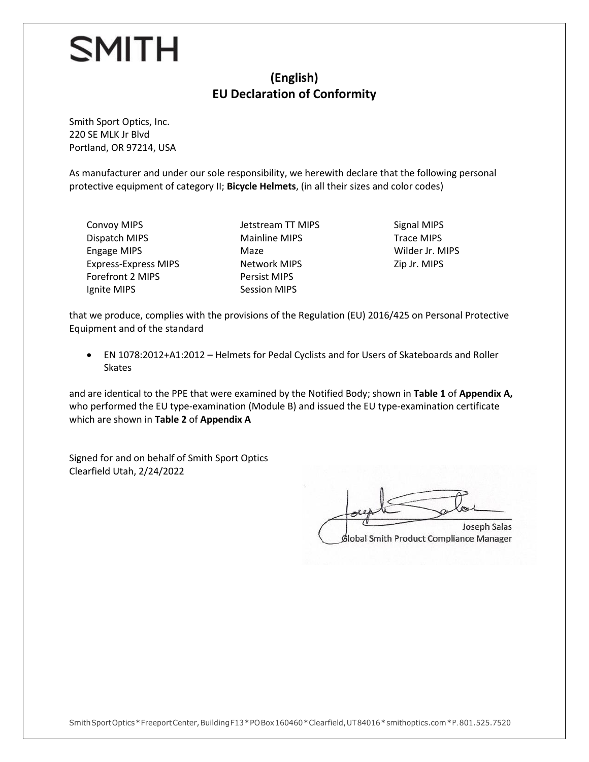#### **(English) EU Declaration of Conformity**

Smith Sport Optics, Inc. 220 SE MLK Jr Blvd Portland, OR 97214, USA

As manufacturer and under our sole responsibility, we herewith declare that the following personal protective equipment of category II; **Bicycle Helmets**, (in all their sizes and color codes)

Convoy MIPS Dispatch MIPS Engage MIPS Express-Express MIPS Forefront 2 MIPS Ignite MIPS

Jetstream TT MIPS Mainline MIPS Maze Network MIPS Persist MIPS Session MIPS

Signal MIPS Trace MIPS Wilder Jr. MIPS Zip Jr. MIPS

that we produce, complies with the provisions of the Regulation (EU) 2016/425 on Personal Protective Equipment and of the standard

• EN 1078:2012+A1:2012 – Helmets for Pedal Cyclists and for Users of Skateboards and Roller **Skates** 

and are identical to the PPE that were examined by the Notified Body; shown in **Table 1** of **Appendix A,**  who performed the EU type-examination (Module B) and issued the EU type-examination certificate which are shown in **Table 2** of **Appendix A**

Signed for and on behalf of Smith Sport Optics Clearfield Utah, 2/24/2022

Joseph Salas foreste plat Joseph Salas

Global Smith Product Compliance Manager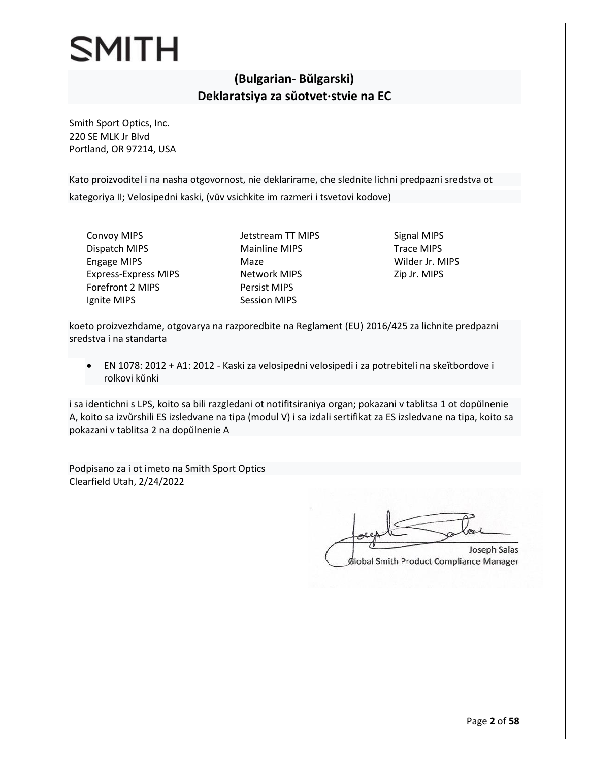#### **(Bulgarian- Bŭlgarski) Deklaratsiya za sŭotvet·stvie na ЕС**

Smith Sport Optics, Inc. 220 SE MLK Jr Blvd Portland, OR 97214, USA

Kato proizvoditel i na nasha otgovornost, nie deklarirame, che slednite lichni predpazni sredstva ot kategoriya II; Velosipedni kaski, (vŭv vsichkite im razmeri i tsvetovi kodove)

Convoy MIPS Dispatch MIPS Engage MIPS Express-Express MIPS Forefront 2 MIPS Ignite MIPS

Jetstream TT MIPS Mainline MIPS Maze Network MIPS Persist MIPS Session MIPS

Signal MIPS Trace MIPS Wilder Jr. MIPS Zip Jr. MIPS

koeto proizvezhdame, otgovarya na razporedbite na Reglament (EU) 2016/425 za lichnite predpazni sredstva i na standarta

• EN 1078: 2012 + A1: 2012 - Kaski za velosipedni velosipedi i za potrebiteli na skeĭtbordove i rolkovi kŭnki

i sa identichni s LPS, koito sa bili razgledani ot notifitsiraniya organ; pokazani v tablitsa 1 ot dopŭlnenie A, koito sa izvŭrshili ES izsledvane na tipa (modul V) i sa izdali sertifikat za ES izsledvane na tipa, koito sa pokazani v tablitsa 2 na dopŭlnenie A

Podpisano za i ot imeto na Smith Sport Optics Clearfield Utah, 2/24/2022

Joseph Salas  $\Box$ Joseph Salas Global Smith Product Compliance Manager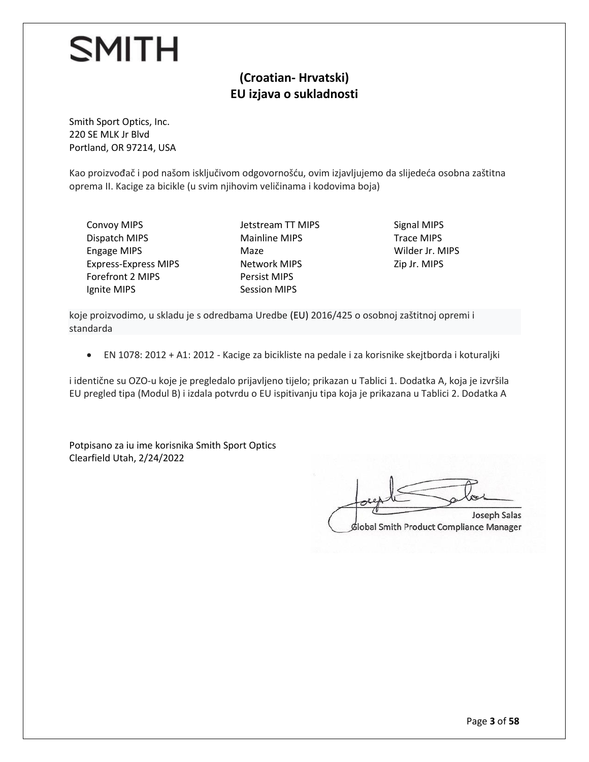#### **(Croatian- Hrvatski) EU izjava o sukladnosti**

Smith Sport Optics, Inc. 220 SE MLK Jr Blvd Portland, OR 97214, USA

Kao proizvođač i pod našom isključivom odgovornošću, ovim izjavljujemo da slijedeća osobna zaštitna oprema II. Kacige za bicikle (u svim njihovim veličinama i kodovima boja)

Convoy MIPS Dispatch MIPS Engage MIPS Express-Express MIPS Forefront 2 MIPS Ignite MIPS

Jetstream TT MIPS Mainline MIPS Maze Network MIPS Persist MIPS Session MIPS

Signal MIPS Trace MIPS Wilder Jr. MIPS Zip Jr. MIPS

koje proizvodimo, u skladu je s odredbama Uredbe (EU) 2016/425 o osobnoj zaštitnoj opremi i standarda

• EN 1078: 2012 + A1: 2012 - Kacige za bicikliste na pedale i za korisnike skejtborda i koturaljki

i identične su OZO-u koje je pregledalo prijavljeno tijelo; prikazan u Tablici 1. Dodatka A, koja je izvršila EU pregled tipa (Modul B) i izdala potvrdu o EU ispitivanju tipa koja je prikazana u Tablici 2. Dodatka A

Potpisano za iu ime korisnika Smith Sport Optics Clearfield Utah, 2/24/2022

 $\gamma$ global about Joseph Salas Global Smith Product Compliance Manager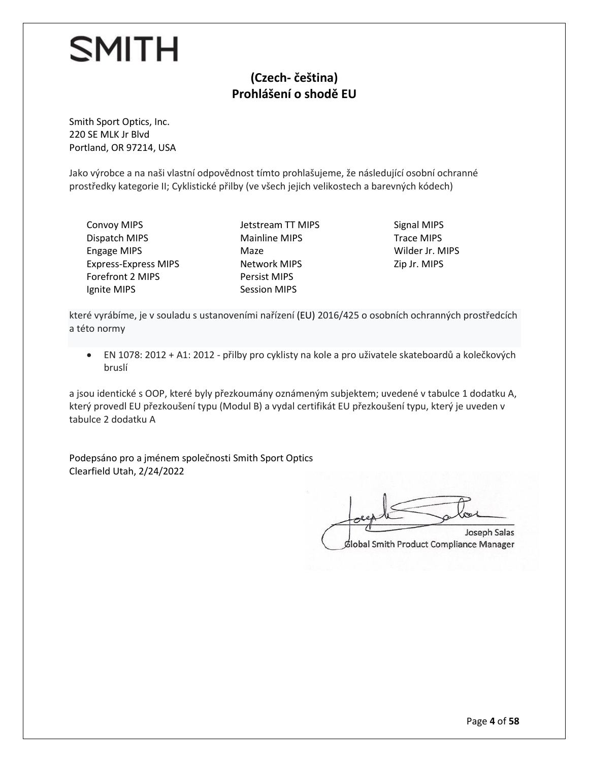#### **(Czech- čeština) Prohlášení o shodě EU**

Smith Sport Optics, Inc. 220 SE MLK Jr Blvd Portland, OR 97214, USA

Jako výrobce a na naši vlastní odpovědnost tímto prohlašujeme, že následující osobní ochranné prostředky kategorie II; Cyklistické přilby (ve všech jejich velikostech a barevných kódech)

Convoy MIPS Dispatch MIPS Engage MIPS Express-Express MIPS Forefront 2 MIPS Ignite MIPS

Jetstream TT MIPS Mainline MIPS Maze Network MIPS Persist MIPS Session MIPS

Signal MIPS Trace MIPS Wilder Jr. MIPS Zip Jr. MIPS

které vyrábíme, je v souladu s ustanoveními nařízení (EU) 2016/425 o osobních ochranných prostředcích a této normy

• EN 1078: 2012 + A1: 2012 - přilby pro cyklisty na kole a pro uživatele skateboardů a kolečkových bruslí

a jsou identické s OOP, které byly přezkoumány oznámeným subjektem; uvedené v tabulce 1 dodatku A, který provedl EU přezkoušení typu (Modul B) a vydal certifikát EU přezkoušení typu, který je uveden v tabulce 2 dodatku A

Podepsáno pro a jménem společnosti Smith Sport Optics Clearfield Utah, 2/24/2022

 $\overline{\phantom{a}}$  $\frac{1}{2}$   $\frac{1}{2}$   $\frac{1}{2}$   $\frac{1}{2}$   $\frac{1}{2}$   $\frac{1}{2}$   $\frac{1}{2}$   $\frac{1}{2}$   $\frac{1}{2}$   $\frac{1}{2}$   $\frac{1}{2}$   $\frac{1}{2}$   $\frac{1}{2}$   $\frac{1}{2}$   $\frac{1}{2}$   $\frac{1}{2}$   $\frac{1}{2}$   $\frac{1}{2}$   $\frac{1}{2}$   $\frac{1}{2}$   $\frac{1}{2}$   $\frac{1}{2}$  Joseph Salas Global Smith Product Compliance Manager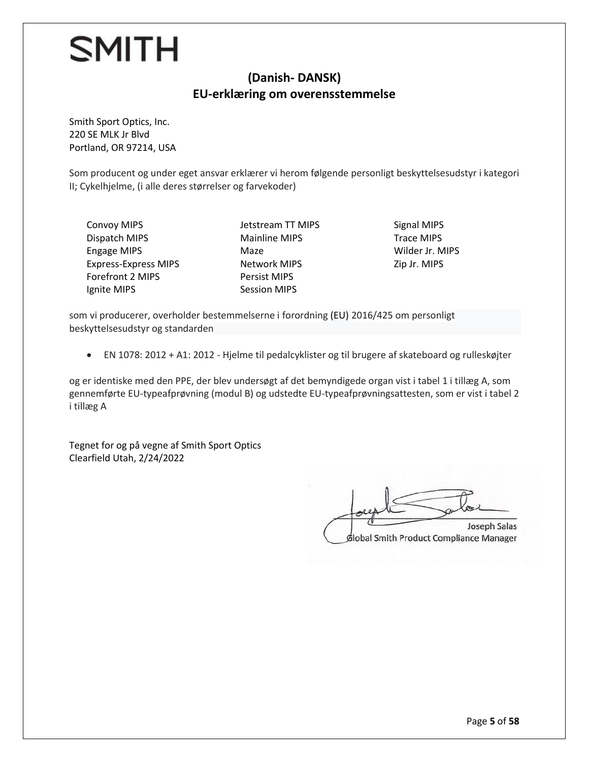#### **(Danish- DANSK) EU-erklæring om overensstemmelse**

Smith Sport Optics, Inc. 220 SE MLK Jr Blvd Portland, OR 97214, USA

Som producent og under eget ansvar erklærer vi herom følgende personligt beskyttelsesudstyr i kategori II; Cykelhjelme, (i alle deres størrelser og farvekoder)

Convoy MIPS Dispatch MIPS Engage MIPS Express-Express MIPS Forefront 2 MIPS Ignite MIPS

Jetstream TT MIPS Mainline MIPS Maze Network MIPS Persist MIPS Session MIPS

Signal MIPS Trace MIPS Wilder Jr. MIPS Zip Jr. MIPS

som vi producerer, overholder bestemmelserne i forordning (EU) 2016/425 om personligt beskyttelsesudstyr og standarden

• EN 1078: 2012 + A1: 2012 - Hjelme til pedalcyklister og til brugere af skateboard og rulleskøjter

og er identiske med den PPE, der blev undersøgt af det bemyndigede organ vist i tabel 1 i tillæg A, som gennemførte EU-typeafprøvning (modul B) og udstedte EU-typeafprøvningsattesten, som er vist i tabel 2 i tillæg A

Tegnet for og på vegne af Smith Sport Optics Clearfield Utah, 2/24/2022

Joseph Salas  $\sqrt{2\pi}$ 

Joseph Salas dlobal Smith Product Compliance Manager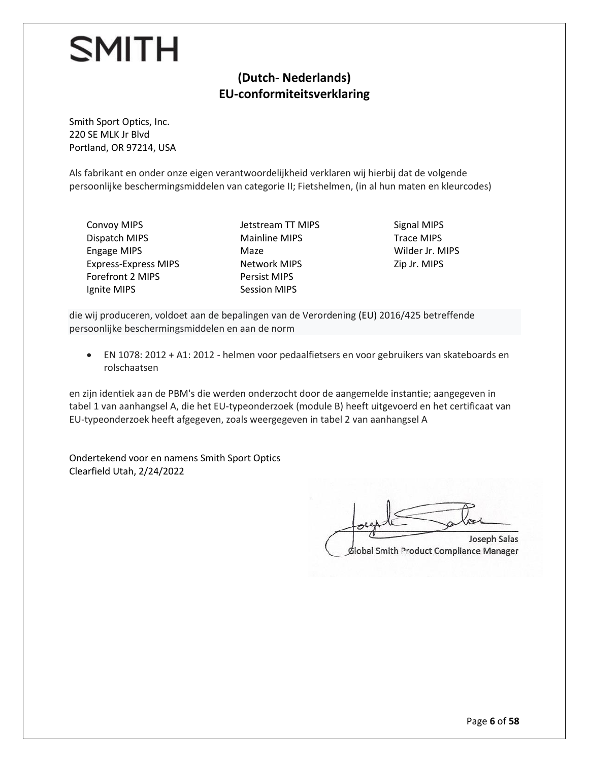#### **(Dutch- Nederlands) EU-conformiteitsverklaring**

Smith Sport Optics, Inc. 220 SE MLK Jr Blvd Portland, OR 97214, USA

Als fabrikant en onder onze eigen verantwoordelijkheid verklaren wij hierbij dat de volgende persoonlijke beschermingsmiddelen van categorie II; Fietshelmen, (in al hun maten en kleurcodes)

Convoy MIPS Dispatch MIPS Engage MIPS Express-Express MIPS Forefront 2 MIPS Ignite MIPS

Jetstream TT MIPS Mainline MIPS Maze Network MIPS Persist MIPS Session MIPS

Signal MIPS Trace MIPS Wilder Jr. MIPS Zip Jr. MIPS

die wij produceren, voldoet aan de bepalingen van de Verordening (EU) 2016/425 betreffende persoonlijke beschermingsmiddelen en aan de norm

• EN 1078: 2012 + A1: 2012 - helmen voor pedaalfietsers en voor gebruikers van skateboards en rolschaatsen

en zijn identiek aan de PBM's die werden onderzocht door de aangemelde instantie; aangegeven in tabel 1 van aanhangsel A, die het EU-typeonderzoek (module B) heeft uitgevoerd en het certificaat van EU-typeonderzoek heeft afgegeven, zoals weergegeven in tabel 2 van aanhangsel A

Ondertekend voor en namens Smith Sport Optics Clearfield Utah, 2/24/2022

Joseph Salas  $\Box$ Joseph Salas

dlobal Smith Product Compliance Manager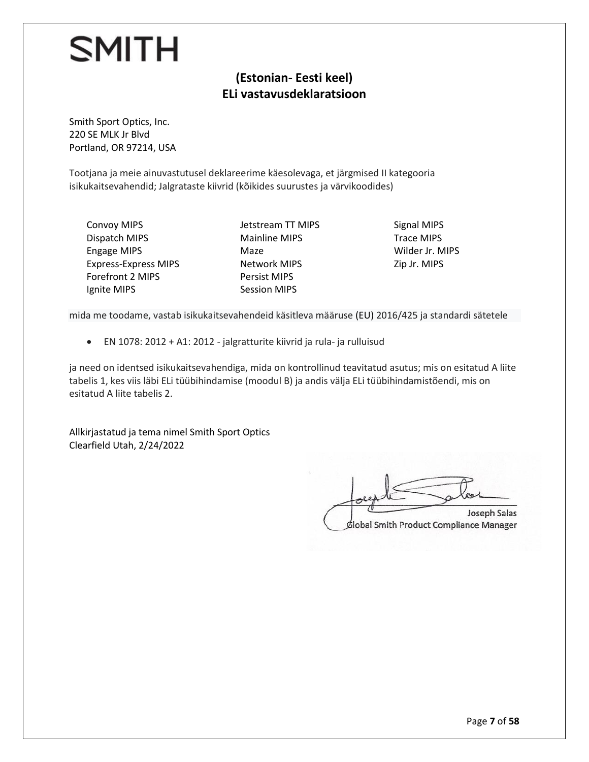#### **(Estonian- Eesti keel) ELi vastavusdeklaratsioon**

Smith Sport Optics, Inc. 220 SE MLK Jr Blvd Portland, OR 97214, USA

Tootjana ja meie ainuvastutusel deklareerime käesolevaga, et järgmised II kategooria isikukaitsevahendid; Jalgrataste kiivrid (kõikides suurustes ja värvikoodides)

Convoy MIPS Dispatch MIPS Engage MIPS Express-Express MIPS Forefront 2 MIPS Ignite MIPS

Jetstream TT MIPS Mainline MIPS Maze Network MIPS Persist MIPS Session MIPS

Signal MIPS Trace MIPS Wilder Jr. MIPS Zip Jr. MIPS

mida me toodame, vastab isikukaitsevahendeid käsitleva määruse (EU) 2016/425 ja standardi sätetele

• EN 1078: 2012 + A1: 2012 - jalgratturite kiivrid ja rula- ja rulluisud

ja need on identsed isikukaitsevahendiga, mida on kontrollinud teavitatud asutus; mis on esitatud A liite tabelis 1, kes viis läbi ELi tüübihindamise (moodul B) ja andis välja ELi tüübihindamistõendi, mis on esitatud A liite tabelis 2.

Allkirjastatud ja tema nimel Smith Sport Optics Clearfield Utah, 2/24/2022

Joseph Salas  $\Box$ Joseph Salas dlobal Smith Product Compliance Manager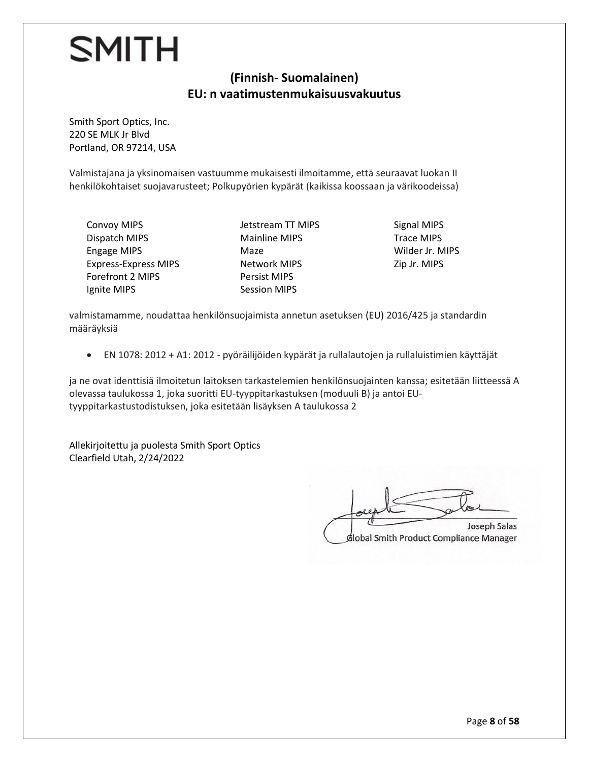#### **(Finnish- Suomalainen) EU: n vaatimustenmukaisuusvakuutus**

Smith Sport Optics, Inc. 220 SE MLK Jr Blvd Portland, OR 97214, USA

Valmistajana ja yksinomaisen vastuumme mukaisesti ilmoitamme, että seuraavat luokan II henkilökohtaiset suojavarusteet; Polkupyörien kypärät (kaikissa koossaan ja värikoodeissa)

Convoy MIPS Dispatch MIPS Engage MIPS Express-Express MIPS Forefront 2 MIPS Ignite MIPS

Jetstream TT MIPS Mainline MIPS Maze Network MIPS Persist MIPS Session MIPS

Signal MIPS Trace MIPS Wilder Jr. MIPS Zip Jr. MIPS

valmistamamme, noudattaa henkilönsuojaimista annetun asetuksen (EU) 2016/425 ja standardin määräyksiä

• EN 1078: 2012 + A1: 2012 - pyöräilijöiden kypärät ja rullalautojen ja rullaluistimien käyttäjät

ja ne ovat identtisiä ilmoitetun laitoksen tarkastelemien henkilönsuojainten kanssa; esitetään liitteessä A olevassa taulukossa 1, joka suoritti EU-tyyppitarkastuksen (moduuli B) ja antoi EUtyyppitarkastustodistuksen, joka esitetään lisäyksen A taulukossa 2

Allekirjoitettu ja puolesta Smith Sport Optics Clearfield Utah, 2/24/2022

Joseph Salas  $\sqrt{2\pi}$ 

Joseph Salas Global Smith Product Compliance Manager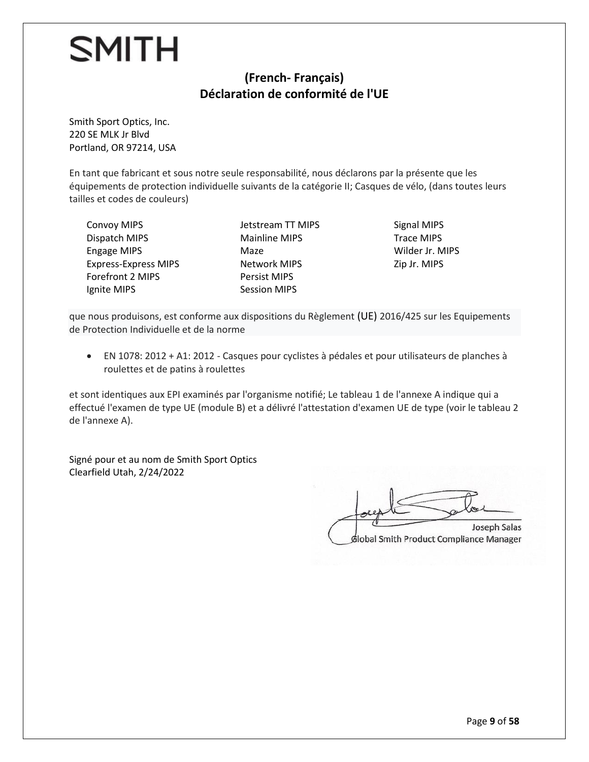#### **(French- Français) Déclaration de conformité de l'UE**

Smith Sport Optics, Inc. 220 SE MLK Jr Blvd Portland, OR 97214, USA

En tant que fabricant et sous notre seule responsabilité, nous déclarons par la présente que les équipements de protection individuelle suivants de la catégorie II; Casques de vélo, (dans toutes leurs tailles et codes de couleurs)

Convoy MIPS Dispatch MIPS Engage MIPS Express-Express MIPS Forefront 2 MIPS Ignite MIPS

Jetstream TT MIPS Mainline MIPS Maze Network MIPS Persist MIPS Session MIPS

Signal MIPS Trace MIPS Wilder Jr. MIPS Zip Jr. MIPS

que nous produisons, est conforme aux dispositions du Règlement (UE) 2016/425 sur les Equipements de Protection Individuelle et de la norme

• EN 1078: 2012 + A1: 2012 - Casques pour cyclistes à pédales et pour utilisateurs de planches à roulettes et de patins à roulettes

et sont identiques aux EPI examinés par l'organisme notifié; Le tableau 1 de l'annexe A indique qui a effectué l'examen de type UE (module B) et a délivré l'attestation d'examen UE de type (voir le tableau 2 de l'annexe A).

Signé pour et au nom de Smith Sport Optics Clearfield Utah, 2/24/2022

 $\tau$  $G$ Joseph Salas

Global Smith Product Compliance Manager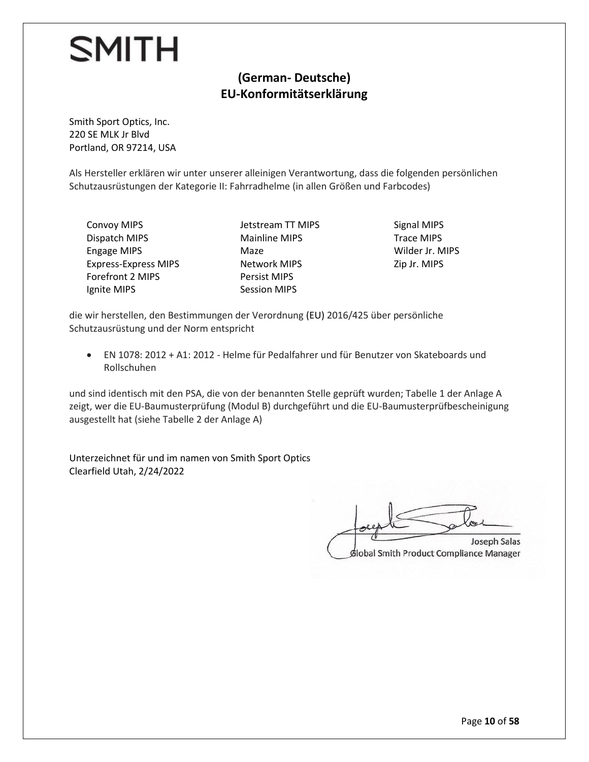#### **(German- Deutsche) EU-Konformitätserklärung**

Smith Sport Optics, Inc. 220 SE MLK Jr Blvd Portland, OR 97214, USA

Als Hersteller erklären wir unter unserer alleinigen Verantwortung, dass die folgenden persönlichen Schutzausrüstungen der Kategorie II: Fahrradhelme (in allen Größen und Farbcodes)

Convoy MIPS Dispatch MIPS Engage MIPS Express-Express MIPS Forefront 2 MIPS Ignite MIPS

Jetstream TT MIPS Mainline MIPS Maze Network MIPS Persist MIPS Session MIPS

Signal MIPS Trace MIPS Wilder Jr. MIPS Zip Jr. MIPS

die wir herstellen, den Bestimmungen der Verordnung (EU) 2016/425 über persönliche Schutzausrüstung und der Norm entspricht

• EN 1078: 2012 + A1: 2012 - Helme für Pedalfahrer und für Benutzer von Skateboards und Rollschuhen

und sind identisch mit den PSA, die von der benannten Stelle geprüft wurden; Tabelle 1 der Anlage A zeigt, wer die EU-Baumusterprüfung (Modul B) durchgeführt und die EU-Baumusterprüfbescheinigung ausgestellt hat (siehe Tabelle 2 der Anlage A)

Unterzeichnet für und im namen von Smith Sport Optics Clearfield Utah, 2/24/2022

 $\Box$ Joseph Salas

dlobal Smith Product Compliance Manager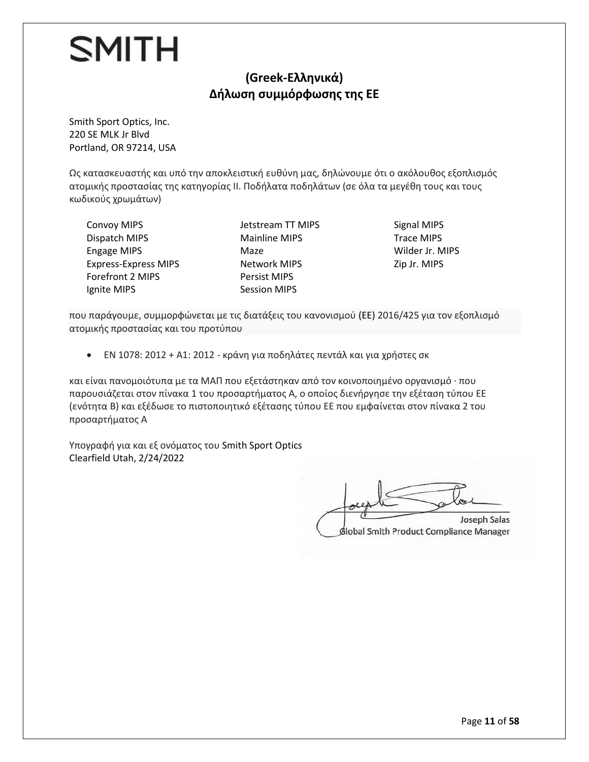#### **(Greek-Ελληνικά) Δήλωση συμμόρφωσης της ΕΕ**

Smith Sport Optics, Inc. 220 SE MLK Jr Blvd Portland, OR 97214, USA

Ως κατασκευαστής και υπό την αποκλειστική ευθύνη μας, δηλώνουμε ότι ο ακόλουθος εξοπλισμός ατομικής προστασίας της κατηγορίας II. Ποδήλατα ποδηλάτων (σε όλα τα μεγέθη τους και τους κωδικούς χρωμάτων)

Convoy MIPS Dispatch MIPS Engage MIPS Express-Express MIPS Forefront 2 MIPS Ignite MIPS

Jetstream TT MIPS Mainline MIPS Maze Network MIPS Persist MIPS Session MIPS

Signal MIPS Trace MIPS Wilder Jr. MIPS Zip Jr. MIPS

που παράγουμε, συμμορφώνεται με τις διατάξεις του κανονισμού (EE) 2016/425 για τον εξοπλισμό ατομικής προστασίας και του προτύπου

• EN 1078: 2012 + A1: 2012 - κράνη για ποδηλάτες πεντάλ και για χρήστες σκ

και είναι πανομοιότυπα με τα ΜΑΠ που εξετάστηκαν από τον κοινοποιημένο οργανισμό · που παρουσιάζεται στον πίνακα 1 του προσαρτήματος Α, ο οποίος διενήργησε την εξέταση τύπου ΕΕ (ενότητα Β) και εξέδωσε το πιστοποιητικό εξέτασης τύπου ΕΕ που εμφαίνεται στον πίνακα 2 του προσαρτήματος Α

Υπογραφή για και εξ ονόματος του Smith Sport Optics Clearfield Utah, 2/24/2022

 $\sqrt{g}$ Joseph Salas Global Smith Product Compliance Manager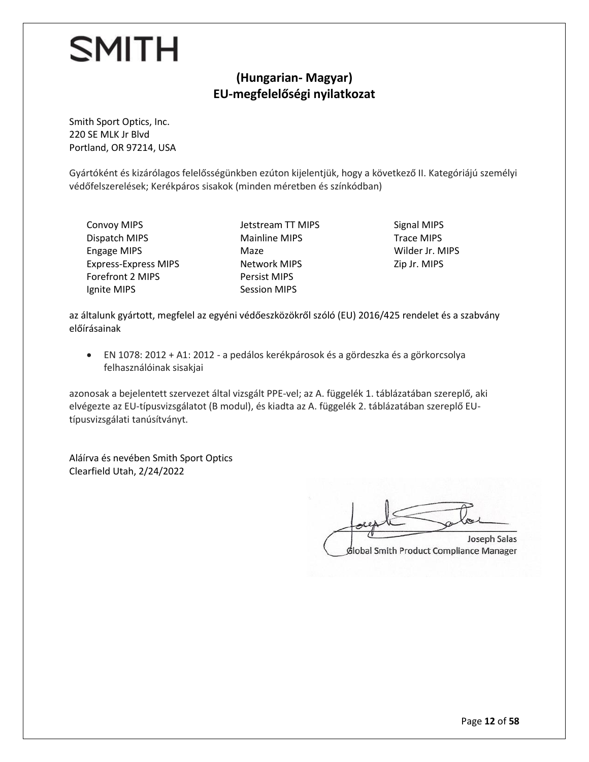#### **(Hungarian- Magyar) EU-megfelelőségi nyilatkozat**

Smith Sport Optics, Inc. 220 SE MLK Jr Blvd Portland, OR 97214, USA

Gyártóként és kizárólagos felelősségünkben ezúton kijelentjük, hogy a következő II. Kategóriájú személyi védőfelszerelések; Kerékpáros sisakok (minden méretben és színkódban)

Convoy MIPS Dispatch MIPS Engage MIPS Express-Express MIPS Forefront 2 MIPS Ignite MIPS

Jetstream TT MIPS Mainline MIPS Maze Network MIPS Persist MIPS Session MIPS

Signal MIPS Trace MIPS Wilder Jr. MIPS Zip Jr. MIPS

az általunk gyártott, megfelel az egyéni védőeszközökről szóló (EU) 2016/425 rendelet és a szabvány előírásainak

• EN 1078: 2012 + A1: 2012 - a pedálos kerékpárosok és a gördeszka és a görkorcsolya felhasználóinak sisakjai

azonosak a bejelentett szervezet által vizsgált PPE-vel; az A. függelék 1. táblázatában szereplő, aki elvégezte az EU-típusvizsgálatot (B modul), és kiadta az A. függelék 2. táblázatában szereplő EUtípusvizsgálati tanúsítványt.

Aláírva és nevében Smith Sport Optics Clearfield Utah, 2/24/2022

Joseph Salas  $\Box$ Joseph Salas

Slobal Smith Product Compliance Manager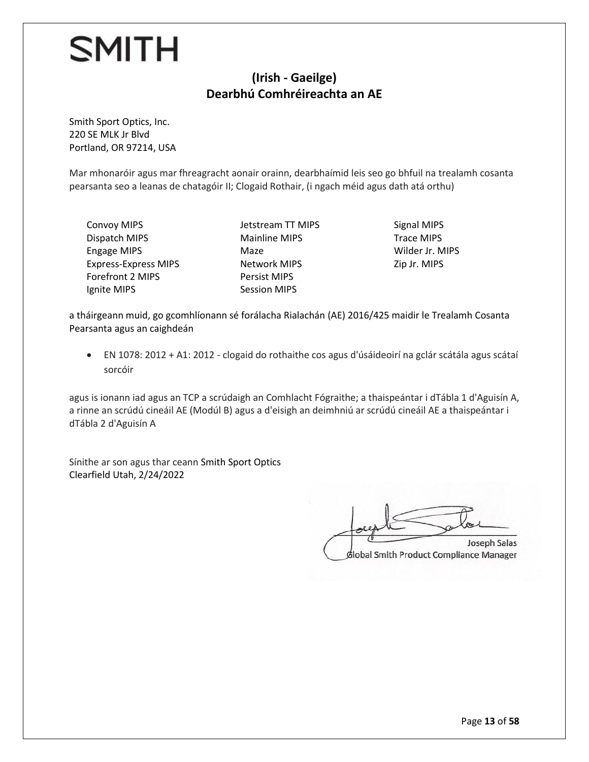#### **(Irish - Gaeilge) Dearbhú Comhréireachta an AE**

Smith Sport Optics, Inc. 220 SE MLK Jr Blvd Portland, OR 97214, USA

Mar mhonaróir agus mar fhreagracht aonair orainn, dearbhaímid leis seo go bhfuil na trealamh cosanta pearsanta seo a leanas de chatagóir II; Clogaid Rothair, (i ngach méid agus dath atá orthu)

Convoy MIPS Dispatch MIPS Engage MIPS Express-Express MIPS Forefront 2 MIPS Ignite MIPS

Jetstream TT MIPS Mainline MIPS Maze Network MIPS Persist MIPS Session MIPS

Signal MIPS Trace MIPS Wilder Jr. MIPS Zip Jr. MIPS

a tháirgeann muid, go gcomhlíonann sé forálacha Rialachán (AE) 2016/425 maidir le Trealamh Cosanta Pearsanta agus an caighdeán

• EN 1078: 2012 + A1: 2012 - clogaid do rothaithe cos agus d'úsáideoirí na gclár scátála agus scátaí sorcóir

agus is ionann iad agus an TCP a scrúdaigh an Comhlacht Fógraithe; a thaispeántar i dTábla 1 d'Aguisín A, a rinne an scrúdú cineáil AE (Modúl B) agus a d'eisigh an deimhniú ar scrúdú cineáil AE a thaispeántar i dTábla 2 d'Aguisín A

Sínithe ar son agus thar ceann Smith Sport Optics Clearfield Utah, 2/24/2022

Joseph Salas  $\Box$ Joseph Salas

**diobal Smith Product Compliance Manager**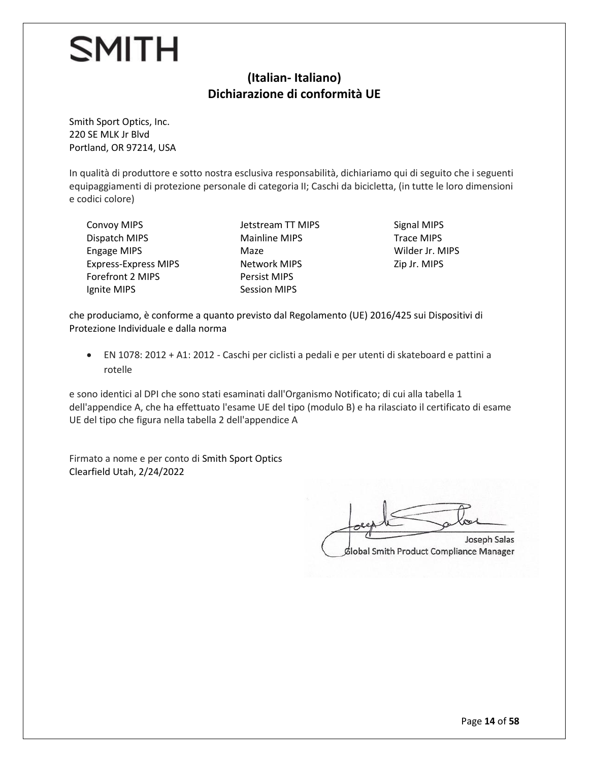#### **(Italian- Italiano) Dichiarazione di conformità UE**

Smith Sport Optics, Inc. 220 SE MLK Jr Blvd Portland, OR 97214, USA

In qualità di produttore e sotto nostra esclusiva responsabilità, dichiariamo qui di seguito che i seguenti equipaggiamenti di protezione personale di categoria II; Caschi da bicicletta, (in tutte le loro dimensioni e codici colore)

Convoy MIPS Dispatch MIPS Engage MIPS Express-Express MIPS Forefront 2 MIPS Ignite MIPS

Jetstream TT MIPS Mainline MIPS Maze Network MIPS Persist MIPS Session MIPS

Signal MIPS Trace MIPS Wilder Jr. MIPS Zip Jr. MIPS

che produciamo, è conforme a quanto previsto dal Regolamento (UE) 2016/425 sui Dispositivi di Protezione Individuale e dalla norma

• EN 1078: 2012 + A1: 2012 - Caschi per ciclisti a pedali e per utenti di skateboard e pattini a rotelle

e sono identici al DPI che sono stati esaminati dall'Organismo Notificato; di cui alla tabella 1 dell'appendice A, che ha effettuato l'esame UE del tipo (modulo B) e ha rilasciato il certificato di esame UE del tipo che figura nella tabella 2 dell'appendice A

Firmato a nome e per conto di Smith Sport Optics Clearfield Utah, 2/24/2022

 $\overline{\phantom{a}}$ Joseph Salas

Global Smith Product Compliance Manager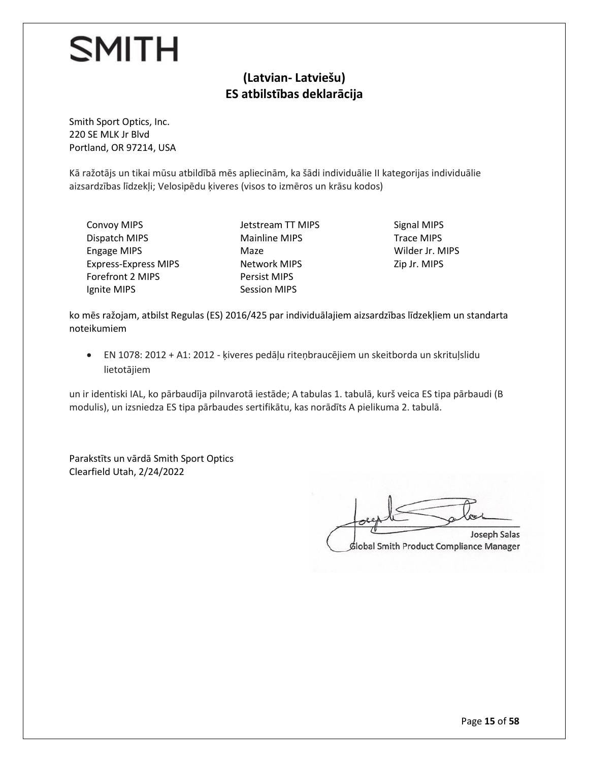#### **(Latvian- Latviešu) ES atbilstības deklarācija**

Smith Sport Optics, Inc. 220 SE MLK Jr Blvd Portland, OR 97214, USA

Kā ražotājs un tikai mūsu atbildībā mēs apliecinām, ka šādi individuālie II kategorijas individuālie aizsardzības līdzekļi; Velosipēdu ķiveres (visos to izmēros un krāsu kodos)

Convoy MIPS Dispatch MIPS Engage MIPS Express-Express MIPS Forefront 2 MIPS Ignite MIPS

Jetstream TT MIPS Mainline MIPS Maze Network MIPS Persist MIPS Session MIPS

Signal MIPS Trace MIPS Wilder Jr. MIPS Zip Jr. MIPS

ko mēs ražojam, atbilst Regulas (ES) 2016/425 par individuālajiem aizsardzības līdzekļiem un standarta noteikumiem

• EN 1078: 2012 + A1: 2012 - ķiveres pedāļu riteņbraucējiem un skeitborda un skrituļslidu lietotājiem

un ir identiski IAL, ko pārbaudīja pilnvarotā iestāde; A tabulas 1. tabulā, kurš veica ES tipa pārbaudi (B modulis), un izsniedza ES tipa pārbaudes sertifikātu, kas norādīts A pielikuma 2. tabulā.

Parakstīts un vārdā Smith Sport Optics Clearfield Utah, 2/24/2022

 $\mathcal{I}$  $\sqrt{2\pi}$ Joseph Salas

Global Smith Product Compliance Manager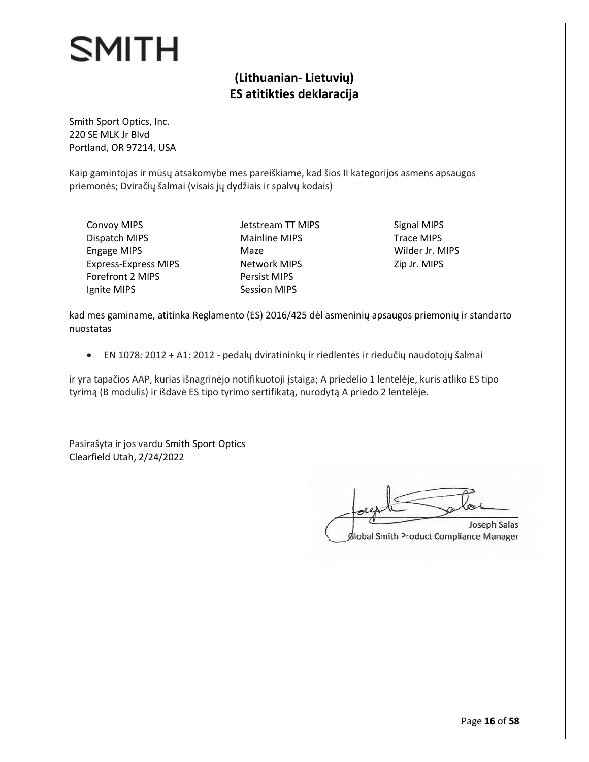#### **(Lithuanian- Lietuvių) ES atitikties deklaracija**

Smith Sport Optics, Inc. 220 SE MLK Jr Blvd Portland, OR 97214, USA

Kaip gamintojas ir mūsų atsakomybe mes pareiškiame, kad šios II kategorijos asmens apsaugos priemonės; Dviračių šalmai (visais jų dydžiais ir spalvų kodais)

Convoy MIPS Dispatch MIPS Engage MIPS Express-Express MIPS Forefront 2 MIPS Ignite MIPS

Jetstream TT MIPS Mainline MIPS Maze Network MIPS Persist MIPS Session MIPS

Signal MIPS Trace MIPS Wilder Jr. MIPS Zip Jr. MIPS

kad mes gaminame, atitinka Reglamento (ES) 2016/425 dėl asmeninių apsaugos priemonių ir standarto nuostatas

• EN 1078: 2012 + A1: 2012 - pedalų dviratininkų ir riedlentės ir riedučių naudotojų šalmai

ir yra tapačios AAP, kurias išnagrinėjo notifikuotoji įstaiga; A priedėlio 1 lentelėje, kuris atliko ES tipo tyrimą (B modulis) ir išdavė ES tipo tyrimo sertifikatą, nurodytą A priedo 2 lentelėje.

Pasirašyta ir jos vardu Smith Sport Optics Clearfield Utah, 2/24/2022

Joseph Salas  $\Box$ Joseph Salas

Global Smith Product Compliance Manager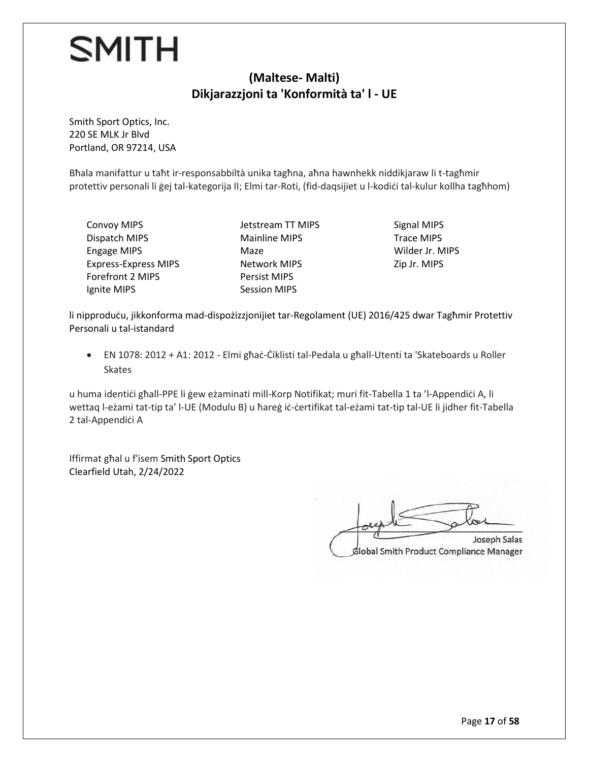#### **(Maltese- Malti) Dikjarazzjoni ta 'Konformità ta' l - UE**

Smith Sport Optics, Inc. 220 SE MLK Jr Blvd Portland, OR 97214, USA

Bħala manifattur u taħt ir-responsabbiltà unika tagħna, aħna hawnhekk niddikjaraw li t-tagħmir protettiv personali li ġej tal-kategorija II; Elmi tar-Roti, (fid-daqsijiet u l-kodiċi tal-kulur kollha tagħhom)

Convoy MIPS Dispatch MIPS Engage MIPS Express-Express MIPS Forefront 2 MIPS Ignite MIPS

Jetstream TT MIPS Mainline MIPS Maze Network MIPS Persist MIPS Session MIPS

Signal MIPS Trace MIPS Wilder Jr. MIPS Zip Jr. MIPS

li nipproduċu, jikkonforma mad-dispożizzjonijiet tar-Regolament (UE) 2016/425 dwar Tagħmir Protettiv Personali u tal-istandard

• EN 1078: 2012 + A1: 2012 - Elmi għaċ-Ċiklisti tal-Pedala u għall-Utenti ta 'Skateboards u Roller Skates

u huma identiċi għall-PPE li ġew eżaminati mill-Korp Notifikat; muri fit-Tabella 1 ta 'l-Appendiċi A, li wettaq l-eżami tat-tip ta' l-UE (Modulu B) u ħareġ iċ-ċertifikat tal-eżami tat-tip tal-UE li jidher fit-Tabella 2 tal-Appendiċi A

Iffirmat għal u f'isem Smith Sport Optics Clearfield Utah, 2/24/2022

Joseph Salas  $\Box$ Joseph Salas

Global Smith Product Compliance Manager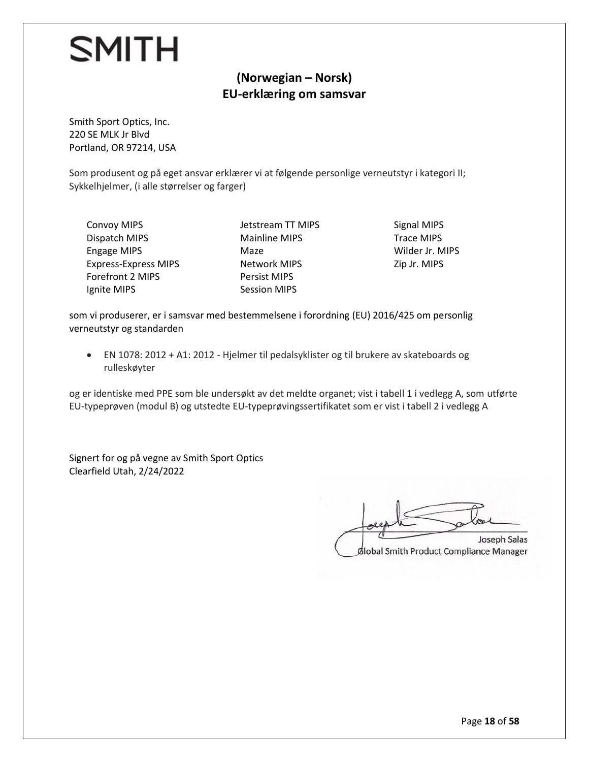#### **(Norwegian – Norsk) EU-erklæring om samsvar**

Smith Sport Optics, Inc. 220 SE MLK Jr Blvd Portland, OR 97214, USA

Som produsent og på eget ansvar erklærer vi at følgende personlige verneutstyr i kategori II; Sykkelhjelmer, (i alle størrelser og farger)

Convoy MIPS Dispatch MIPS Engage MIPS Express-Express MIPS Forefront 2 MIPS Ignite MIPS

Jetstream TT MIPS Mainline MIPS Maze Network MIPS Persist MIPS Session MIPS

Signal MIPS Trace MIPS Wilder Jr. MIPS Zip Jr. MIPS

som vi produserer, er i samsvar med bestemmelsene i forordning (EU) 2016/425 om personlig verneutstyr og standarden

• EN 1078: 2012 + A1: 2012 - Hjelmer til pedalsyklister og til brukere av skateboards og rulleskøyter

og er identiske med PPE som ble undersøkt av det meldte organet; vist i tabell 1 i vedlegg A, som utførte EU-typeprøven (modul B) og utstedte EU-typeprøvingssertifikatet som er vist i tabell 2 i vedlegg A

Signert for og på vegne av Smith Sport Optics Clearfield Utah, 2/24/2022

 $\Box$ Joseph Salas

dlobal Smith Product Compliance Manager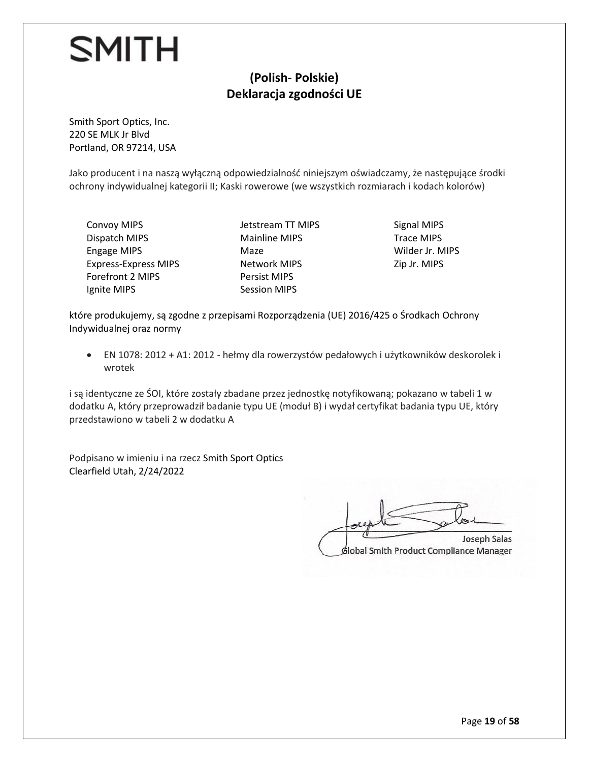#### **(Polish- Polskie) Deklaracja zgodności UE**

Smith Sport Optics, Inc. 220 SE MLK Jr Blvd Portland, OR 97214, USA

Jako producent i na naszą wyłączną odpowiedzialność niniejszym oświadczamy, że następujące środki ochrony indywidualnej kategorii II; Kaski rowerowe (we wszystkich rozmiarach i kodach kolorów)

Convoy MIPS Dispatch MIPS Engage MIPS Express-Express MIPS Forefront 2 MIPS Ignite MIPS

Jetstream TT MIPS Mainline MIPS Maze Network MIPS Persist MIPS Session MIPS

Signal MIPS Trace MIPS Wilder Jr. MIPS Zip Jr. MIPS

które produkujemy, są zgodne z przepisami Rozporządzenia (UE) 2016/425 o Środkach Ochrony Indywidualnej oraz normy

• EN 1078: 2012 + A1: 2012 - hełmy dla rowerzystów pedałowych i użytkowników deskorolek i wrotek

i są identyczne ze ŚOI, które zostały zbadane przez jednostkę notyfikowaną; pokazano w tabeli 1 w dodatku A, który przeprowadził badanie typu UE (moduł B) i wydał certyfikat badania typu UE, który przedstawiono w tabeli 2 w dodatku A

Podpisano w imieniu i na rzecz Smith Sport Optics Clearfield Utah, 2/24/2022

 $\Box$ Joseph Salas Slobal Smith Product Compliance Manager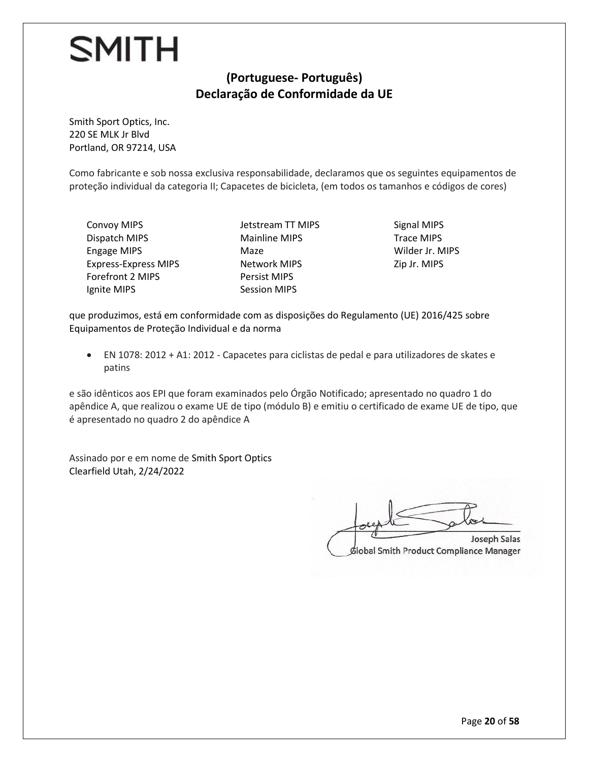#### **(Portuguese- Português) Declaração de Conformidade da UE**

Smith Sport Optics, Inc. 220 SE MLK Jr Blvd Portland, OR 97214, USA

Como fabricante e sob nossa exclusiva responsabilidade, declaramos que os seguintes equipamentos de proteção individual da categoria II; Capacetes de bicicleta, (em todos os tamanhos e códigos de cores)

Convoy MIPS Dispatch MIPS Engage MIPS Express-Express MIPS Forefront 2 MIPS Ignite MIPS

Jetstream TT MIPS Mainline MIPS Maze Network MIPS Persist MIPS Session MIPS

Signal MIPS Trace MIPS Wilder Jr. MIPS Zip Jr. MIPS

que produzimos, está em conformidade com as disposições do Regulamento (UE) 2016/425 sobre Equipamentos de Proteção Individual e da norma

• EN 1078: 2012 + A1: 2012 - Capacetes para ciclistas de pedal e para utilizadores de skates e patins

e são idênticos aos EPI que foram examinados pelo Órgão Notificado; apresentado no quadro 1 do apêndice A, que realizou o exame UE de tipo (módulo B) e emitiu o certificado de exame UE de tipo, que é apresentado no quadro 2 do apêndice A

Assinado por e em nome de Smith Sport Optics Clearfield Utah, 2/24/2022

Joseph Salas  $\Box$ Joseph Salas

Global Smith Product Compliance Manager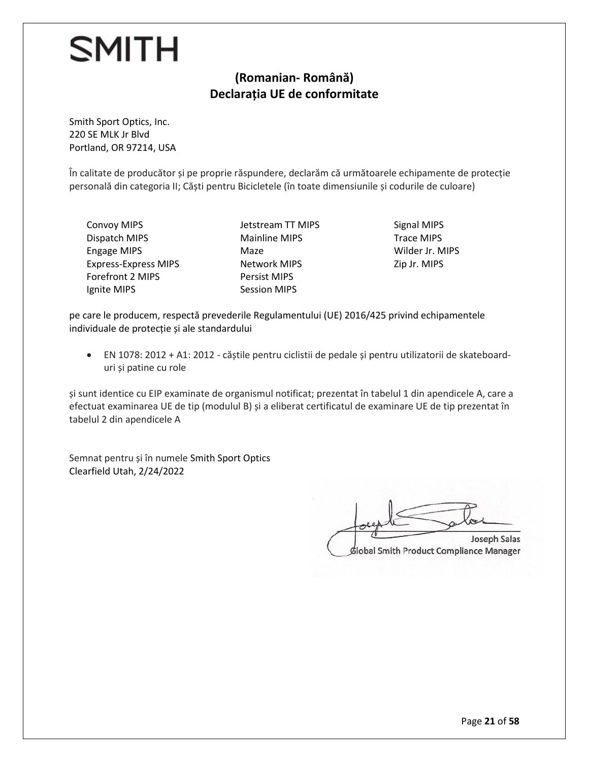#### **(Romanian- Română) Declarația UE de conformitate**

Smith Sport Optics, Inc. 220 SE MLK Jr Blvd Portland, OR 97214, USA

În calitate de producător și pe proprie răspundere, declarăm că următoarele echipamente de protecție personală din categoria II; Căști pentru Bicicletele (în toate dimensiunile și codurile de culoare)

Convoy MIPS Dispatch MIPS Engage MIPS Express-Express MIPS Forefront 2 MIPS Ignite MIPS

Jetstream TT MIPS Mainline MIPS Maze Network MIPS Persist MIPS Session MIPS

Signal MIPS Trace MIPS Wilder Jr. MIPS Zip Jr. MIPS

pe care le producem, respectă prevederile Regulamentului (UE) 2016/425 privind echipamentele individuale de protecție și ale standardului

• EN 1078: 2012 + A1: 2012 - căștile pentru ciclistii de pedale și pentru utilizatorii de skateboarduri și patine cu role

și sunt identice cu EIP examinate de organismul notificat; prezentat în tabelul 1 din apendicele A, care a efectuat examinarea UE de tip (modulul B) și a eliberat certificatul de examinare UE de tip prezentat în tabelul 2 din apendicele A

Semnat pentru și în numele Smith Sport Optics Clearfield Utah, 2/24/2022

Joseph Salas  $\Box$ Joseph Salas

Global Smith Product Compliance Manager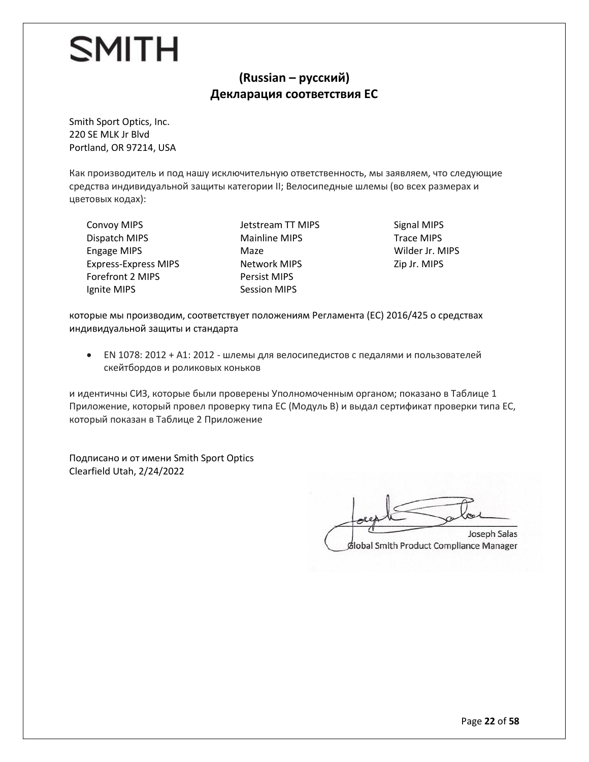#### **(Russian – русский) Декларация соответствия ЕС**

Smith Sport Optics, Inc. 220 SE MLK Jr Blvd Portland, OR 97214, USA

Как производитель и под нашу исключительную ответственность, мы заявляем, что следующие средства индивидуальной защиты категории II; Велосипедные шлемы (во всех размерах и цветовых кодах):

Convoy MIPS Dispatch MIPS Engage MIPS Express-Express MIPS Forefront 2 MIPS Ignite MIPS

Jetstream TT MIPS Mainline MIPS Maze Network MIPS Persist MIPS Session MIPS

Signal MIPS Trace MIPS Wilder Jr. MIPS Zip Jr. MIPS

которые мы производим, соответствует положениям Регламента (ЕС) 2016/425 о средствах индивидуальной защиты и стандарта

• EN 1078: 2012 + A1: 2012 - шлемы для велосипедистов с педалями и пользователей скейтбордов и роликовых коньков

и идентичны СИЗ, которые были проверены Уполномоченным органом; показано в Таблице 1 Приложениe, который провел проверку типа ЕС (Модуль В) и выдал сертификат проверки типа ЕС, который показан в Таблице 2 Приложениe

Подписано и от имени Smith Sport Optics Clearfield Utah, 2/24/2022

 $\overline{z}$  $\sqrt{2\pi}$ Joseph Salas Global Smith Product Compliance Manager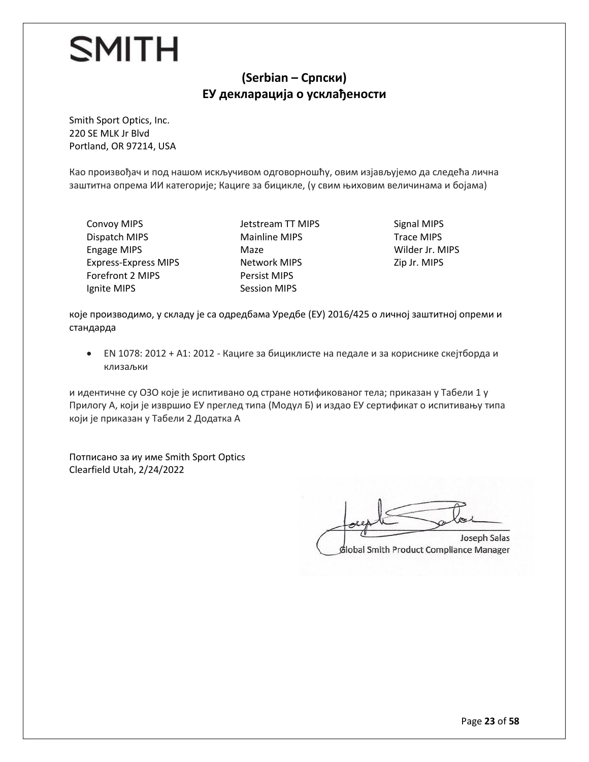#### **(Serbian – Српски) ЕУ декларација о усклађености**

Smith Sport Optics, Inc. 220 SE MLK Jr Blvd Portland, OR 97214, USA

Као произвођач и под нашом искључивом одговорношћу, овим изјављујемо да следећа лична заштитна опрема ИИ категорије; Кациге за бицикле, (у свим њиховим величинама и бојама)

Convoy MIPS Dispatch MIPS Engage MIPS Express-Express MIPS Forefront 2 MIPS Ignite MIPS

Jetstream TT MIPS Mainline MIPS Maze Network MIPS Persist MIPS Session MIPS

Signal MIPS Trace MIPS Wilder Jr. MIPS Zip Jr. MIPS

које производимо, у складу је са одредбама Уредбе (ЕУ) 2016/425 о личној заштитној опреми и стандарда

• ЕN 1078: 2012 + А1: 2012 - Кациге за бициклисте на педале и за кориснике скејтборда и клизаљки

и идентичне су ОЗО које је испитивано од стране нотификованог тела; приказан у Табели 1 у Прилогу А, који је извршио ЕУ преглед типа (Модул Б) и издао ЕУ сертификат о испитивању типа који је приказан у Табели 2 Додатка А

Потписано за иу име Smith Sport Optics Clearfield Utah, 2/24/2022

 $\Box$ Joseph Salas

**Slobal Smith Product Compliance Manager**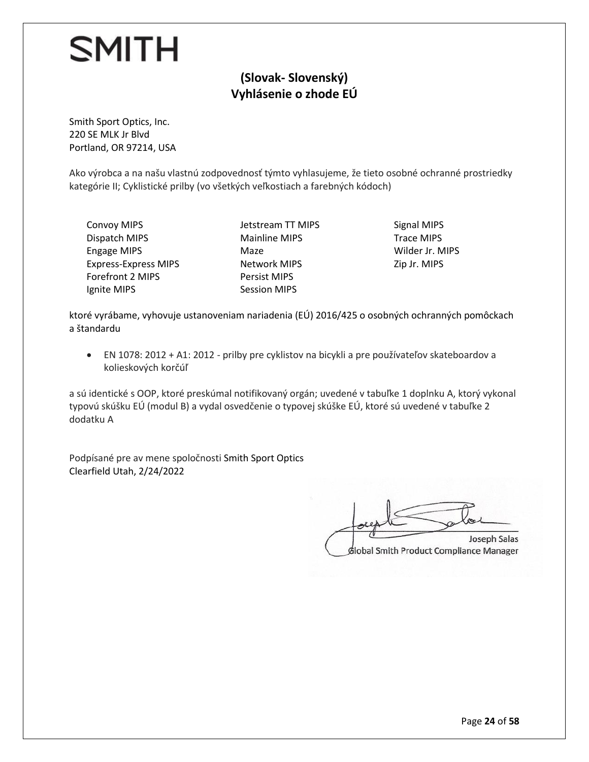#### **(Slovak- Slovenský) Vyhlásenie o zhode EÚ**

Smith Sport Optics, Inc. 220 SE MLK Jr Blvd Portland, OR 97214, USA

Ako výrobca a na našu vlastnú zodpovednosť týmto vyhlasujeme, že tieto osobné ochranné prostriedky kategórie II; Cyklistické prilby (vo všetkých veľkostiach a farebných kódoch)

Convoy MIPS Dispatch MIPS Engage MIPS Express-Express MIPS Forefront 2 MIPS Ignite MIPS

Jetstream TT MIPS Mainline MIPS Maze Network MIPS Persist MIPS Session MIPS

Signal MIPS Trace MIPS Wilder Jr. MIPS Zip Jr. MIPS

ktoré vyrábame, vyhovuje ustanoveniam nariadenia (EÚ) 2016/425 o osobných ochranných pomôckach a štandardu

• EN 1078: 2012 + A1: 2012 - prilby pre cyklistov na bicykli a pre používateľov skateboardov a kolieskových korčúľ

a sú identické s OOP, ktoré preskúmal notifikovaný orgán; uvedené v tabuľke 1 doplnku A, ktorý vykonal typovú skúšku EÚ (modul B) a vydal osvedčenie o typovej skúške EÚ, ktoré sú uvedené v tabuľke 2 dodatku A

Podpísané pre av mene spoločnosti Smith Sport Optics Clearfield Utah, 2/24/2022

Joseph Salas  $\Box$ Joseph Salas

Slobal Smith Product Compliance Manager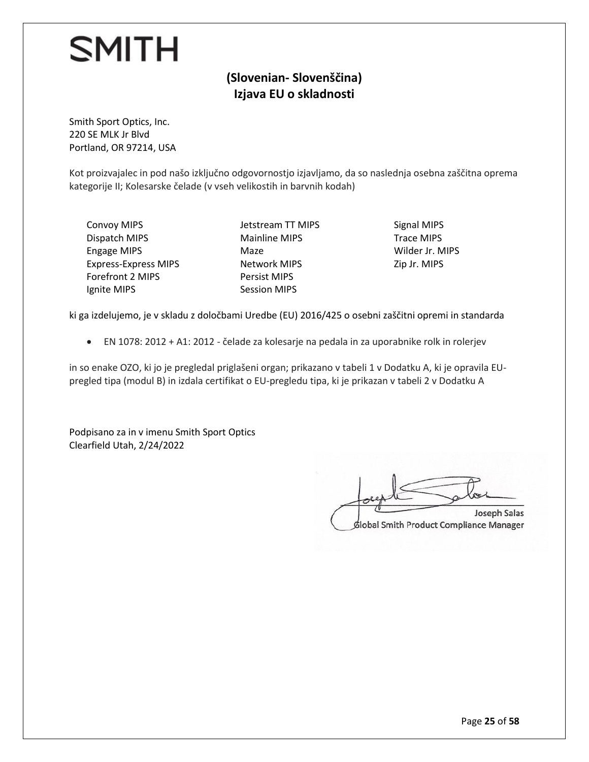#### **(Slovenian- Slovenščina) Izjava EU o skladnosti**

Smith Sport Optics, Inc. 220 SE MLK Jr Blvd Portland, OR 97214, USA

Kot proizvajalec in pod našo izključno odgovornostjo izjavljamo, da so naslednja osebna zaščitna oprema kategorije II; Kolesarske čelade (v vseh velikostih in barvnih kodah)

Convoy MIPS Dispatch MIPS Engage MIPS Express-Express MIPS Forefront 2 MIPS Ignite MIPS

Jetstream TT MIPS Mainline MIPS Maze Network MIPS Persist MIPS Session MIPS

Signal MIPS Trace MIPS Wilder Jr. MIPS Zip Jr. MIPS

ki ga izdelujemo, je v skladu z določbami Uredbe (EU) 2016/425 o osebni zaščitni opremi in standarda

• EN 1078: 2012 + A1: 2012 - čelade za kolesarje na pedala in za uporabnike rolk in rolerjev

in so enake OZO, ki jo je pregledal priglašeni organ; prikazano v tabeli 1 v Dodatku A, ki je opravila EUpregled tipa (modul B) in izdala certifikat o EU-pregledu tipa, ki je prikazan v tabeli 2 v Dodatku A

Podpisano za in v imenu Smith Sport Optics Clearfield Utah, 2/24/2022

Joseph Salas  $\Box$ **Joseph Salas** dlobal Smith Product Compliance Manager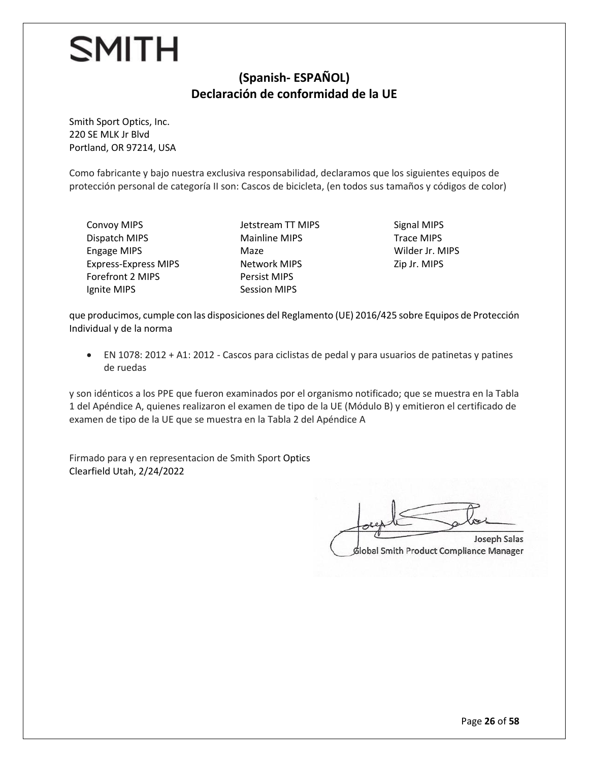#### **(Spanish- ESPAÑOL) Declaración de conformidad de la UE**

Smith Sport Optics, Inc. 220 SE MLK Jr Blvd Portland, OR 97214, USA

Como fabricante y bajo nuestra exclusiva responsabilidad, declaramos que los siguientes equipos de protección personal de categoría II son: Cascos de bicicleta, (en todos sus tamaños y códigos de color)

Convoy MIPS Dispatch MIPS Engage MIPS Express-Express MIPS Forefront 2 MIPS Ignite MIPS

Jetstream TT MIPS Mainline MIPS Maze Network MIPS Persist MIPS Session MIPS

Signal MIPS Trace MIPS Wilder Jr. MIPS Zip Jr. MIPS

que producimos, cumple con las disposiciones del Reglamento (UE) 2016/425 sobre Equipos de Protección Individual y de la norma

• EN 1078: 2012 + A1: 2012 - Cascos para ciclistas de pedal y para usuarios de patinetas y patines de ruedas

y son idénticos a los PPE que fueron examinados por el organismo notificado; que se muestra en la Tabla 1 del Apéndice A, quienes realizaron el examen de tipo de la UE (Módulo B) y emitieron el certificado de examen de tipo de la UE que se muestra en la Tabla 2 del Apéndice A

Firmado para y en representacion de Smith Sport Optics Clearfield Utah, 2/24/2022

Joseph Salas  $\Box$ **Joseph Salas** 

dlobal Smith Product Compliance Manager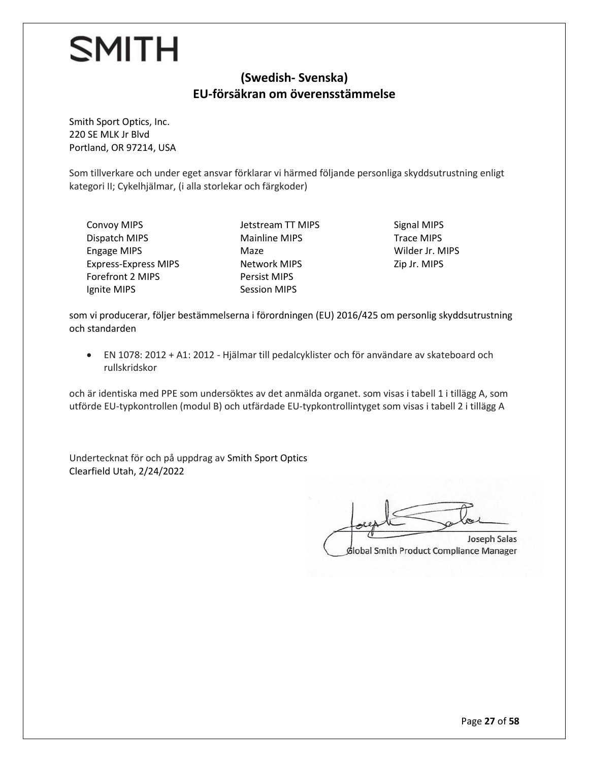#### **(Swedish- Svenska) EU-försäkran om överensstämmelse**

Smith Sport Optics, Inc. 220 SE MLK Jr Blvd Portland, OR 97214, USA

Som tillverkare och under eget ansvar förklarar vi härmed följande personliga skyddsutrustning enligt kategori II; Cykelhjälmar, (i alla storlekar och färgkoder)

Convoy MIPS Dispatch MIPS Engage MIPS Express-Express MIPS Forefront 2 MIPS Ignite MIPS

Jetstream TT MIPS Mainline MIPS Maze Network MIPS Persist MIPS Session MIPS

Signal MIPS Trace MIPS Wilder Jr. MIPS Zip Jr. MIPS

som vi producerar, följer bestämmelserna i förordningen (EU) 2016/425 om personlig skyddsutrustning och standarden

• EN 1078: 2012 + A1: 2012 - Hjälmar till pedalcyklister och för användare av skateboard och rullskridskor

och är identiska med PPE som undersöktes av det anmälda organet. som visas i tabell 1 i tillägg A, som utförde EU-typkontrollen (modul B) och utfärdade EU-typkontrollintyget som visas i tabell 2 i tillägg A

Undertecknat för och på uppdrag av Smith Sport Optics Clearfield Utah, 2/24/2022

Joseph Salas  $\Box$ Joseph Salas

Slobal Smith Product Compliance Manager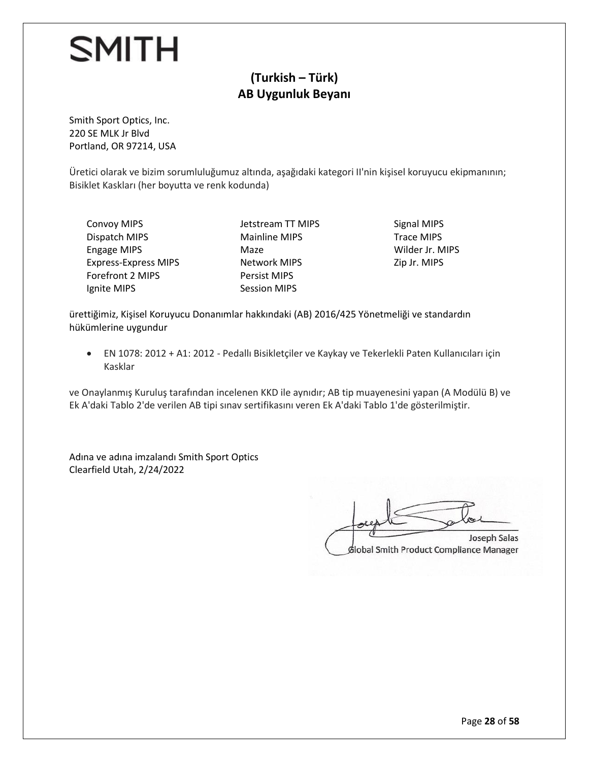#### **(Turkish – Türk) AB Uygunluk Beyanı**

Smith Sport Optics, Inc. 220 SE MLK Jr Blvd Portland, OR 97214, USA

Üretici olarak ve bizim sorumluluğumuz altında, aşağıdaki kategori II'nin kişisel koruyucu ekipmanının; Bisiklet Kaskları (her boyutta ve renk kodunda)

Convoy MIPS Dispatch MIPS Engage MIPS Express-Express MIPS Forefront 2 MIPS Ignite MIPS

Jetstream TT MIPS Mainline MIPS Maze Network MIPS Persist MIPS Session MIPS

Signal MIPS Trace MIPS Wilder Jr. MIPS Zip Jr. MIPS

ürettiğimiz, Kişisel Koruyucu Donanımlar hakkındaki (AB) 2016/425 Yönetmeliği ve standardın hükümlerine uygundur

• EN 1078: 2012 + A1: 2012 - Pedallı Bisikletçiler ve Kaykay ve Tekerlekli Paten Kullanıcıları için Kasklar

ve Onaylanmış Kuruluş tarafından incelenen KKD ile aynıdır; AB tip muayenesini yapan (A Modülü B) ve Ek A'daki Tablo 2'de verilen AB tipi sınav sertifikasını veren Ek A'daki Tablo 1'de gösterilmiştir.

Adına ve adına imzalandı Smith Sport Optics Clearfield Utah, 2/24/2022

Joseph Salas  $\Box$ Joseph Salas

Global Smith Product Compliance Manager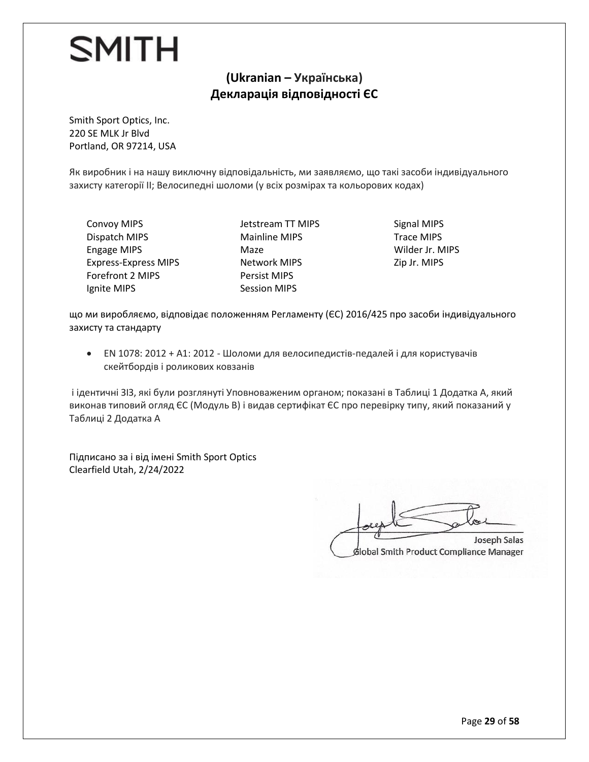#### **(Ukranian – Українська) Декларація відповідності ЄС**

Smith Sport Optics, Inc. 220 SE MLK Jr Blvd Portland, OR 97214, USA

Як виробник і на нашу виключну відповідальність, ми заявляємо, що такі засоби індивідуального захисту категорії II; Велосипедні шоломи (у всіх розмірах та кольорових кодах)

Convoy MIPS Dispatch MIPS Engage MIPS Express-Express MIPS Forefront 2 MIPS Ignite MIPS

Jetstream TT MIPS Mainline MIPS Maze Network MIPS Persist MIPS Session MIPS

Signal MIPS Trace MIPS Wilder Jr. MIPS Zip Jr. MIPS

що ми виробляємо, відповідає положенням Регламенту (ЄС) 2016/425 про засоби індивідуального захисту та стандарту

• EN 1078: 2012 + A1: 2012 - Шоломи для велосипедистів-педалей і для користувачів скейтбордів і роликових ковзанів

і ідентичні ЗІЗ, які були розглянуті Уповноваженим органом; показані в Таблиці 1 Додатка А, який виконав типовий огляд ЄС (Модуль В) і видав сертифікат ЄС про перевірку типу, який показаний у Таблиці 2 Додатка А

Підписано за і від імені Smith Sport Optics Clearfield Utah, 2/24/2022

 $\Box$ **Joseph Salas** 

Global Smith Product Compliance Manager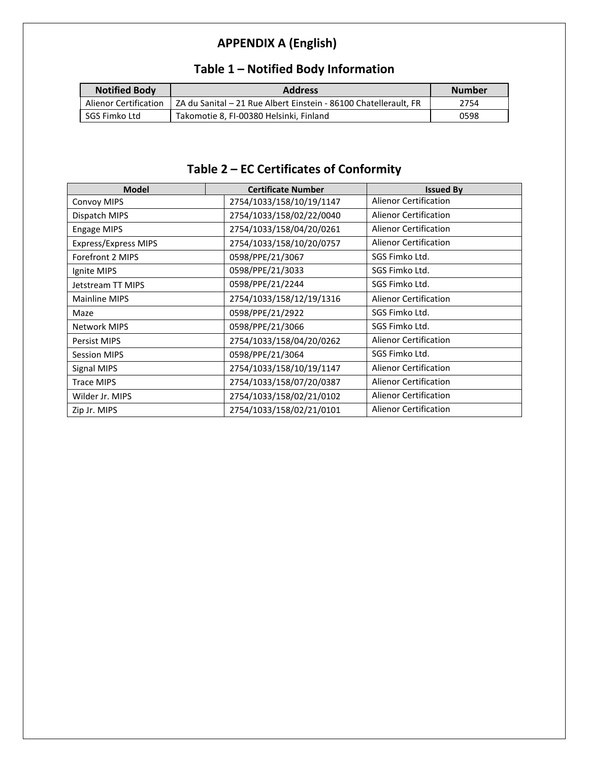## **APPENDIX A (English)**

| <b>Notified Body</b>  | <b>Address</b>                                                   | <b>Number</b> |
|-----------------------|------------------------------------------------------------------|---------------|
| Alienor Certification | ZA du Sanital - 21 Rue Albert Einstein - 86100 Chatellerault, FR | 2754          |
| SGS Fimko Ltd         | Takomotie 8. FI-00380 Helsinki. Finland                          | 0598          |

## **Table 1 – Notified Body Information**

## **Table 2 – EC Certificates of Conformity**

| <b>Model</b>                | <b>Certificate Number</b> | <b>Issued By</b>             |
|-----------------------------|---------------------------|------------------------------|
| <b>Convoy MIPS</b>          | 2754/1033/158/10/19/1147  | <b>Alienor Certification</b> |
| Dispatch MIPS               | 2754/1033/158/02/22/0040  | <b>Alienor Certification</b> |
| <b>Engage MIPS</b>          | 2754/1033/158/04/20/0261  | <b>Alienor Certification</b> |
| <b>Express/Express MIPS</b> | 2754/1033/158/10/20/0757  | <b>Alienor Certification</b> |
| Forefront 2 MIPS            | 0598/PPE/21/3067          | SGS Fimko Ltd.               |
| Ignite MIPS                 | 0598/PPE/21/3033          | SGS Fimko Ltd.               |
| Jetstream TT MIPS           | 0598/PPE/21/2244          | SGS Fimko Ltd.               |
| <b>Mainline MIPS</b>        | 2754/1033/158/12/19/1316  | <b>Alienor Certification</b> |
| Maze                        | 0598/PPE/21/2922          | SGS Fimko Ltd.               |
| <b>Network MIPS</b>         | 0598/PPE/21/3066          | SGS Fimko Ltd.               |
| Persist MIPS                | 2754/1033/158/04/20/0262  | <b>Alienor Certification</b> |
| <b>Session MIPS</b>         | 0598/PPE/21/3064          | SGS Fimko Ltd.               |
| Signal MIPS                 | 2754/1033/158/10/19/1147  | <b>Alienor Certification</b> |
| <b>Trace MIPS</b>           | 2754/1033/158/07/20/0387  | <b>Alienor Certification</b> |
| Wilder Jr. MIPS             | 2754/1033/158/02/21/0102  | <b>Alienor Certification</b> |
| Zip Jr. MIPS                | 2754/1033/158/02/21/0101  | <b>Alienor Certification</b> |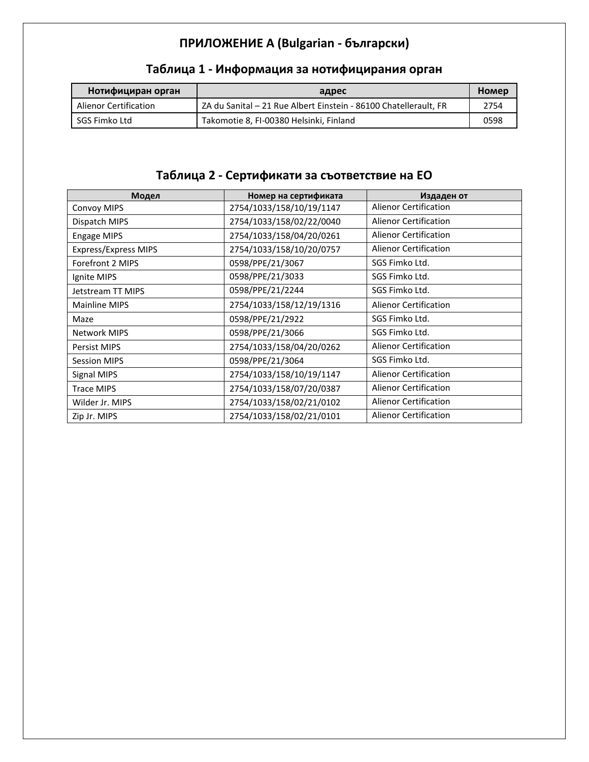## **ПРИЛОЖЕНИЕ A (Bulgarian - български)**

| Нотифициран орган     | адрес                                                            | Homep |
|-----------------------|------------------------------------------------------------------|-------|
| Alienor Certification | ZA du Sanital - 21 Rue Albert Einstein - 86100 Chatellerault, FR | 2754  |
| SGS Fimko Ltd         | Takomotie 8, FI-00380 Helsinki, Finland                          | 0598  |

#### **Таблица 1 - Информация за нотифицирания орган**

#### **Таблица 2 - Сертификати за съответствие на ЕО**

| Модел                       | Номер на сертификата     | Издаден от                   |
|-----------------------------|--------------------------|------------------------------|
| <b>Convoy MIPS</b>          | 2754/1033/158/10/19/1147 | <b>Alienor Certification</b> |
| Dispatch MIPS               | 2754/1033/158/02/22/0040 | <b>Alienor Certification</b> |
| <b>Engage MIPS</b>          | 2754/1033/158/04/20/0261 | <b>Alienor Certification</b> |
| <b>Express/Express MIPS</b> | 2754/1033/158/10/20/0757 | <b>Alienor Certification</b> |
| Forefront 2 MIPS            | 0598/PPE/21/3067         | SGS Fimko Ltd.               |
| Ignite MIPS                 | 0598/PPE/21/3033         | SGS Fimko Ltd.               |
| Jetstream TT MIPS           | 0598/PPE/21/2244         | SGS Fimko Ltd.               |
| <b>Mainline MIPS</b>        | 2754/1033/158/12/19/1316 | <b>Alienor Certification</b> |
| Maze                        | 0598/PPE/21/2922         | SGS Fimko Ltd.               |
| <b>Network MIPS</b>         | 0598/PPE/21/3066         | SGS Fimko Ltd.               |
| <b>Persist MIPS</b>         | 2754/1033/158/04/20/0262 | <b>Alienor Certification</b> |
| <b>Session MIPS</b>         | 0598/PPE/21/3064         | SGS Fimko Ltd.               |
| Signal MIPS                 | 2754/1033/158/10/19/1147 | <b>Alienor Certification</b> |
| <b>Trace MIPS</b>           | 2754/1033/158/07/20/0387 | <b>Alienor Certification</b> |
| Wilder Jr. MIPS             | 2754/1033/158/02/21/0102 | <b>Alienor Certification</b> |
| Zip Jr. MIPS                | 2754/1033/158/02/21/0101 | <b>Alienor Certification</b> |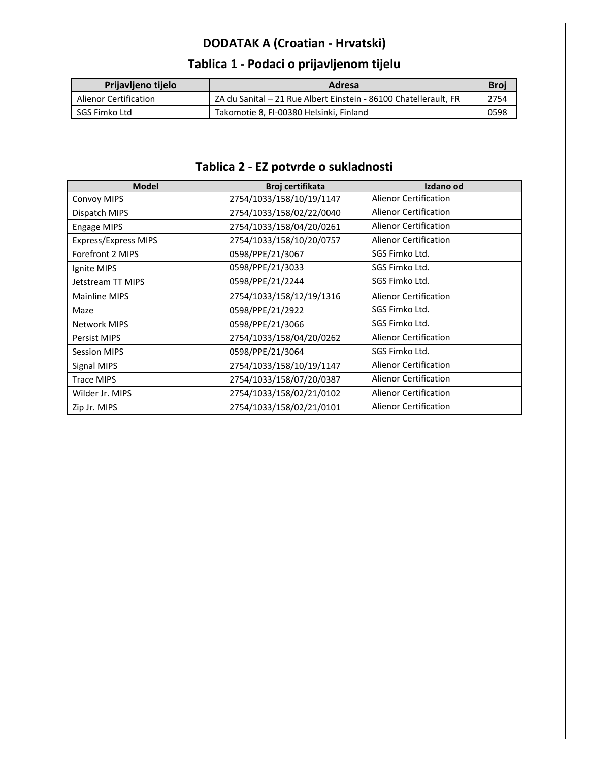## **DODATAK A (Croatian - Hrvatski)**

#### **Tablica 1 - Podaci o prijavljenom tijelu**

| Prijavljeno tijelo    | Adresa                                                           | <b>Broi</b> |
|-----------------------|------------------------------------------------------------------|-------------|
| Alienor Certification | ZA du Sanital – 21 Rue Albert Einstein - 86100 Chatellerault, FR | 2754        |
| l SGS Fimko Ltd       | Takomotie 8, FI-00380 Helsinki, Finland                          | 0598        |

## **Tablica 2 - EZ potvrde o sukladnosti**

| <b>Model</b>                | Broj certifikata         | Izdano od                    |
|-----------------------------|--------------------------|------------------------------|
| Convoy MIPS                 | 2754/1033/158/10/19/1147 | <b>Alienor Certification</b> |
| Dispatch MIPS               | 2754/1033/158/02/22/0040 | <b>Alienor Certification</b> |
| Engage MIPS                 | 2754/1033/158/04/20/0261 | <b>Alienor Certification</b> |
| <b>Express/Express MIPS</b> | 2754/1033/158/10/20/0757 | <b>Alienor Certification</b> |
| Forefront 2 MIPS            | 0598/PPE/21/3067         | SGS Fimko Ltd.               |
| Ignite MIPS                 | 0598/PPE/21/3033         | SGS Fimko Ltd.               |
| Jetstream TT MIPS           | 0598/PPE/21/2244         | SGS Fimko Ltd.               |
| <b>Mainline MIPS</b>        | 2754/1033/158/12/19/1316 | <b>Alienor Certification</b> |
| Maze                        | 0598/PPE/21/2922         | SGS Fimko Ltd.               |
| <b>Network MIPS</b>         | 0598/PPE/21/3066         | SGS Fimko Ltd.               |
| <b>Persist MIPS</b>         | 2754/1033/158/04/20/0262 | <b>Alienor Certification</b> |
| <b>Session MIPS</b>         | 0598/PPE/21/3064         | SGS Fimko Ltd.               |
| Signal MIPS                 | 2754/1033/158/10/19/1147 | <b>Alienor Certification</b> |
| <b>Trace MIPS</b>           | 2754/1033/158/07/20/0387 | <b>Alienor Certification</b> |
| Wilder Jr. MIPS             | 2754/1033/158/02/21/0102 | <b>Alienor Certification</b> |
| Zip Jr. MIPS                | 2754/1033/158/02/21/0101 | <b>Alienor Certification</b> |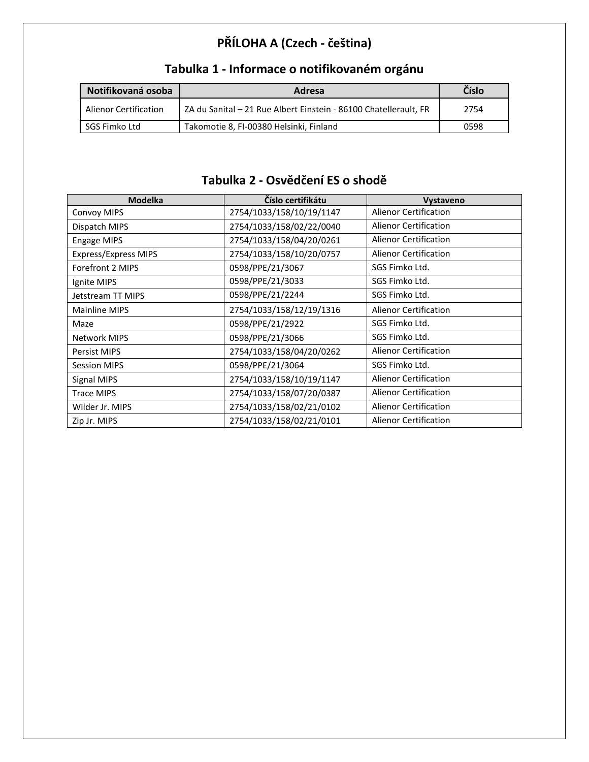## **PŘÍLOHA A (Czech - čeština)**

| Notifikovaná osoba           | Adresa                                                           | Číslo |
|------------------------------|------------------------------------------------------------------|-------|
| <b>Alienor Certification</b> | ZA du Sanital – 21 Rue Albert Einstein - 86100 Chatellerault, FR | 2754  |
| SGS Fimko Ltd                | Takomotie 8, FI-00380 Helsinki, Finland                          | 0598  |

## **Tabulka 1 - Informace o notifikovaném orgánu**

#### **Tabulka 2 - Osvědčení ES o shodě**

| <b>Modelka</b>              | Číslo certifikátu        | <b>Vystaveno</b>             |
|-----------------------------|--------------------------|------------------------------|
| <b>Convoy MIPS</b>          | 2754/1033/158/10/19/1147 | Alienor Certification        |
| Dispatch MIPS               | 2754/1033/158/02/22/0040 | <b>Alienor Certification</b> |
| Engage MIPS                 | 2754/1033/158/04/20/0261 | <b>Alienor Certification</b> |
| <b>Express/Express MIPS</b> | 2754/1033/158/10/20/0757 | <b>Alienor Certification</b> |
| Forefront 2 MIPS            | 0598/PPE/21/3067         | SGS Fimko Ltd.               |
| Ignite MIPS                 | 0598/PPE/21/3033         | SGS Fimko Ltd.               |
| Jetstream TT MIPS           | 0598/PPE/21/2244         | SGS Fimko Ltd.               |
| Mainline MIPS               | 2754/1033/158/12/19/1316 | <b>Alienor Certification</b> |
| Maze                        | 0598/PPE/21/2922         | SGS Fimko Ltd.               |
| <b>Network MIPS</b>         | 0598/PPE/21/3066         | SGS Fimko Ltd.               |
| <b>Persist MIPS</b>         | 2754/1033/158/04/20/0262 | <b>Alienor Certification</b> |
| <b>Session MIPS</b>         | 0598/PPE/21/3064         | SGS Fimko Ltd.               |
| Signal MIPS                 | 2754/1033/158/10/19/1147 | <b>Alienor Certification</b> |
| <b>Trace MIPS</b>           | 2754/1033/158/07/20/0387 | Alienor Certification        |
| Wilder Jr. MIPS             | 2754/1033/158/02/21/0102 | <b>Alienor Certification</b> |
| Zip Jr. MIPS                | 2754/1033/158/02/21/0101 | <b>Alienor Certification</b> |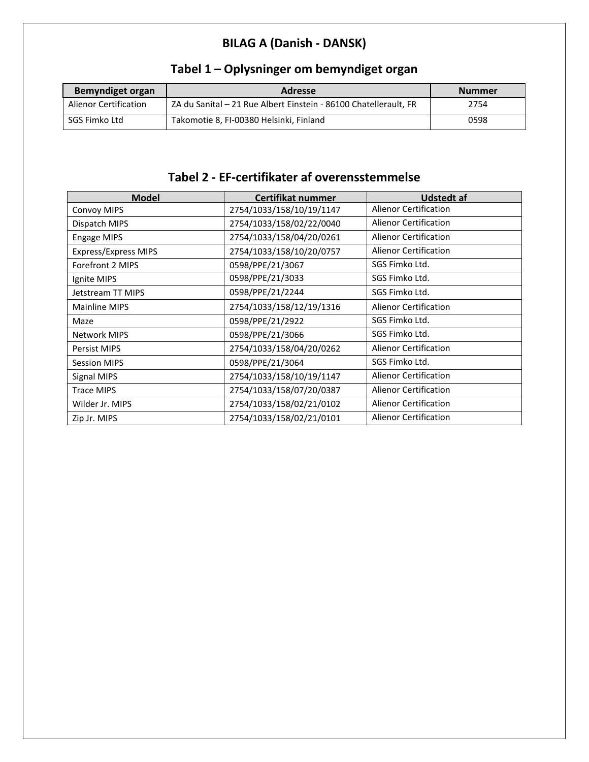## **BILAG A (Danish - DANSK)**

| <b>Bemyndiget organ</b>      | <b>Adresse</b>                                                   | <b>Nummer</b> |
|------------------------------|------------------------------------------------------------------|---------------|
| <b>Alienor Certification</b> | ZA du Sanital – 21 Rue Albert Einstein - 86100 Chatellerault, FR | 2754          |
| SGS Fimko Ltd                | Takomotie 8, FI-00380 Helsinki, Finland                          | 0598          |

## **Tabel 1 – Oplysninger om bemyndiget organ**

#### **Tabel 2 - EF-certifikater af overensstemmelse**

| <b>Model</b>                | Certifikat nummer        | <b>Udstedt af</b>            |
|-----------------------------|--------------------------|------------------------------|
| <b>Convoy MIPS</b>          | 2754/1033/158/10/19/1147 | <b>Alienor Certification</b> |
| Dispatch MIPS               | 2754/1033/158/02/22/0040 | <b>Alienor Certification</b> |
| <b>Engage MIPS</b>          | 2754/1033/158/04/20/0261 | <b>Alienor Certification</b> |
| <b>Express/Express MIPS</b> | 2754/1033/158/10/20/0757 | <b>Alienor Certification</b> |
| Forefront 2 MIPS            | 0598/PPE/21/3067         | SGS Fimko Ltd.               |
| Ignite MIPS                 | 0598/PPE/21/3033         | SGS Fimko Ltd.               |
| Jetstream TT MIPS           | 0598/PPE/21/2244         | SGS Fimko Ltd.               |
| Mainline MIPS               | 2754/1033/158/12/19/1316 | <b>Alienor Certification</b> |
| Maze                        | 0598/PPE/21/2922         | SGS Fimko Ltd.               |
| <b>Network MIPS</b>         | 0598/PPE/21/3066         | SGS Fimko Ltd.               |
| <b>Persist MIPS</b>         | 2754/1033/158/04/20/0262 | <b>Alienor Certification</b> |
| <b>Session MIPS</b>         | 0598/PPE/21/3064         | SGS Fimko Ltd.               |
| Signal MIPS                 | 2754/1033/158/10/19/1147 | <b>Alienor Certification</b> |
| <b>Trace MIPS</b>           | 2754/1033/158/07/20/0387 | <b>Alienor Certification</b> |
| Wilder Jr. MIPS             | 2754/1033/158/02/21/0102 | <b>Alienor Certification</b> |
| Zip Jr. MIPS                | 2754/1033/158/02/21/0101 | <b>Alienor Certification</b> |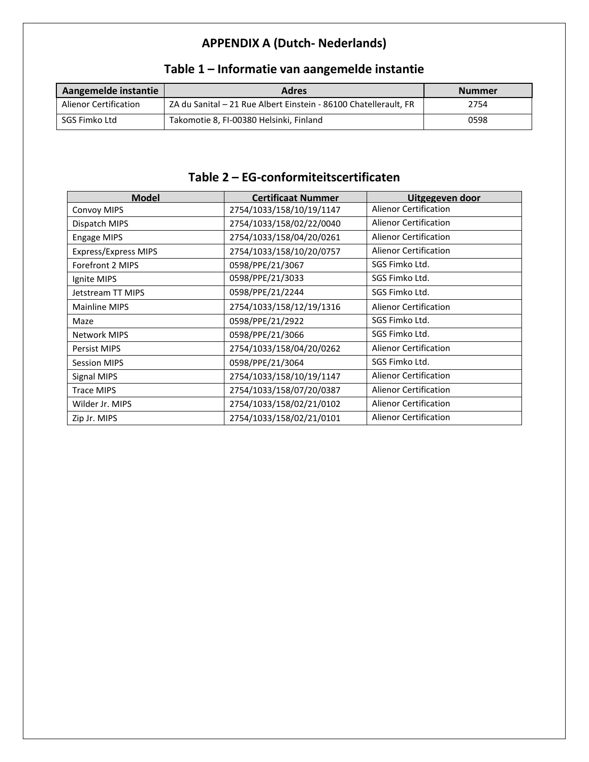## **APPENDIX A (Dutch- Nederlands)**

| Aangemelde instantie         | <b>Adres</b>                                                     | <b>Nummer</b> |
|------------------------------|------------------------------------------------------------------|---------------|
| <b>Alienor Certification</b> | ZA du Sanital – 21 Rue Albert Einstein - 86100 Chatellerault, FR | 2754          |
| SGS Fimko Ltd                | Takomotie 8, FI-00380 Helsinki, Finland                          | 0598          |

## **Table 1 – Informatie van aangemelde instantie**

#### **Table 2 – EG-conformiteitscertificaten**

| <b>Model</b>         | <b>Certificaat Nummer</b> | Uitgegeven door              |
|----------------------|---------------------------|------------------------------|
| <b>Convoy MIPS</b>   | 2754/1033/158/10/19/1147  | <b>Alienor Certification</b> |
| Dispatch MIPS        | 2754/1033/158/02/22/0040  | Alienor Certification        |
| <b>Engage MIPS</b>   | 2754/1033/158/04/20/0261  | <b>Alienor Certification</b> |
| Express/Express MIPS | 2754/1033/158/10/20/0757  | <b>Alienor Certification</b> |
| Forefront 2 MIPS     | 0598/PPE/21/3067          | SGS Fimko Ltd.               |
| Ignite MIPS          | 0598/PPE/21/3033          | SGS Fimko Ltd.               |
| Jetstream TT MIPS    | 0598/PPE/21/2244          | SGS Fimko Ltd.               |
| Mainline MIPS        | 2754/1033/158/12/19/1316  | <b>Alienor Certification</b> |
| Maze                 | 0598/PPE/21/2922          | SGS Fimko Ltd.               |
| <b>Network MIPS</b>  | 0598/PPE/21/3066          | SGS Fimko Ltd.               |
| <b>Persist MIPS</b>  | 2754/1033/158/04/20/0262  | <b>Alienor Certification</b> |
| <b>Session MIPS</b>  | 0598/PPE/21/3064          | SGS Fimko Ltd.               |
| Signal MIPS          | 2754/1033/158/10/19/1147  | <b>Alienor Certification</b> |
| <b>Trace MIPS</b>    | 2754/1033/158/07/20/0387  | <b>Alienor Certification</b> |
| Wilder Jr. MIPS      | 2754/1033/158/02/21/0102  | <b>Alienor Certification</b> |
| Zip Jr. MIPS         | 2754/1033/158/02/21/0101  | <b>Alienor Certification</b> |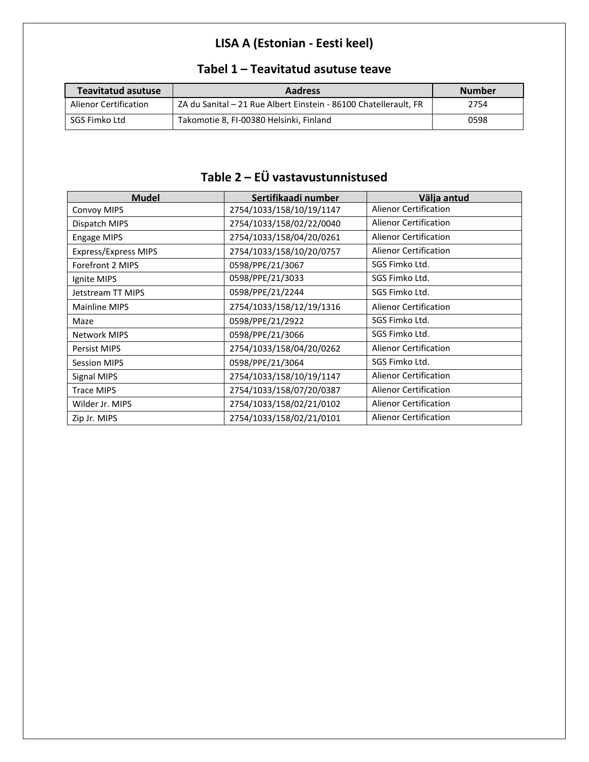## **LISA A (Estonian - Eesti keel)**

| <b>Teavitatud asutuse</b>    | <b>Aadress</b>                                                   | <b>Number</b> |
|------------------------------|------------------------------------------------------------------|---------------|
| <b>Alienor Certification</b> | ZA du Sanital - 21 Rue Albert Einstein - 86100 Chatellerault, FR | 2754          |
| SGS Fimko Ltd                | Takomotie 8, FI-00380 Helsinki, Finland                          | 0598          |

#### **Tabel 1 – Teavitatud asutuse teave**

## **Table 2 – EÜ vastavustunnistused**

| <b>Mudel</b>                | Sertifikaadi number      | Välja antud                  |
|-----------------------------|--------------------------|------------------------------|
| <b>Convoy MIPS</b>          | 2754/1033/158/10/19/1147 | <b>Alienor Certification</b> |
| Dispatch MIPS               | 2754/1033/158/02/22/0040 | <b>Alienor Certification</b> |
| <b>Engage MIPS</b>          | 2754/1033/158/04/20/0261 | <b>Alienor Certification</b> |
| <b>Express/Express MIPS</b> | 2754/1033/158/10/20/0757 | <b>Alienor Certification</b> |
| Forefront 2 MIPS            | 0598/PPE/21/3067         | SGS Fimko Ltd.               |
| Ignite MIPS                 | 0598/PPE/21/3033         | SGS Fimko Ltd.               |
| Jetstream TT MIPS           | 0598/PPE/21/2244         | SGS Fimko Ltd.               |
| <b>Mainline MIPS</b>        | 2754/1033/158/12/19/1316 | <b>Alienor Certification</b> |
| Maze                        | 0598/PPE/21/2922         | SGS Fimko Ltd.               |
| <b>Network MIPS</b>         | 0598/PPE/21/3066         | SGS Fimko Ltd.               |
| Persist MIPS                | 2754/1033/158/04/20/0262 | <b>Alienor Certification</b> |
| <b>Session MIPS</b>         | 0598/PPE/21/3064         | SGS Fimko Ltd.               |
| Signal MIPS                 | 2754/1033/158/10/19/1147 | <b>Alienor Certification</b> |
| <b>Trace MIPS</b>           | 2754/1033/158/07/20/0387 | <b>Alienor Certification</b> |
| Wilder Jr. MIPS             | 2754/1033/158/02/21/0102 | <b>Alienor Certification</b> |
| Zip Jr. MIPS                | 2754/1033/158/02/21/0101 | <b>Alienor Certification</b> |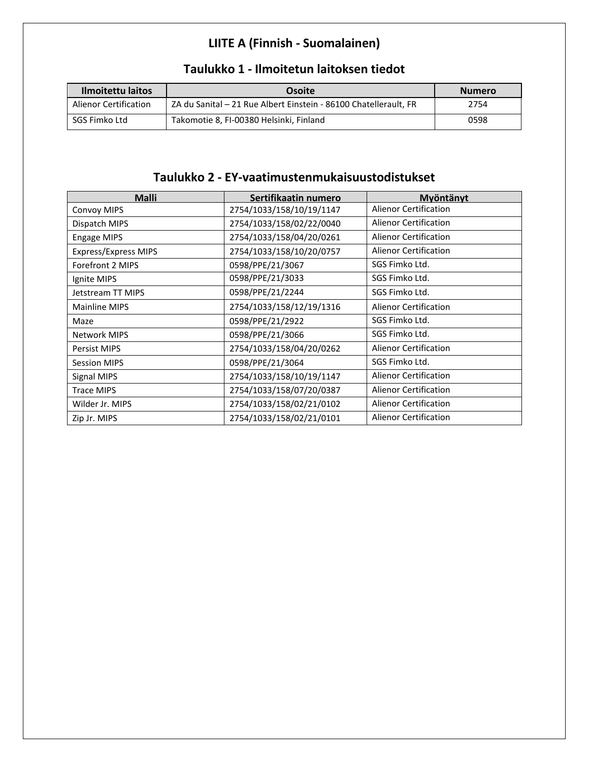## **LIITE A (Finnish - Suomalainen)**

| Ilmoitettu laitos     | Osoite                                                           | <b>Numero</b> |
|-----------------------|------------------------------------------------------------------|---------------|
| Alienor Certification | ZA du Sanital - 21 Rue Albert Einstein - 86100 Chatellerault, FR | 2754          |
| SGS Fimko Ltd         | Takomotie 8, FI-00380 Helsinki, Finland                          | 0598          |

#### **Taulukko 1 - Ilmoitetun laitoksen tiedot**

#### **Taulukko 2 - EY-vaatimustenmukaisuustodistukset**

| <b>Malli</b>                | Sertifikaatin numero     | Myöntänyt                    |
|-----------------------------|--------------------------|------------------------------|
| <b>Convoy MIPS</b>          | 2754/1033/158/10/19/1147 | <b>Alienor Certification</b> |
| Dispatch MIPS               | 2754/1033/158/02/22/0040 | Alienor Certification        |
| <b>Engage MIPS</b>          | 2754/1033/158/04/20/0261 | Alienor Certification        |
| <b>Express/Express MIPS</b> | 2754/1033/158/10/20/0757 | <b>Alienor Certification</b> |
| Forefront 2 MIPS            | 0598/PPE/21/3067         | SGS Fimko Ltd.               |
| Ignite MIPS                 | 0598/PPE/21/3033         | SGS Fimko Ltd.               |
| Jetstream TT MIPS           | 0598/PPE/21/2244         | SGS Fimko Ltd.               |
| <b>Mainline MIPS</b>        | 2754/1033/158/12/19/1316 | <b>Alienor Certification</b> |
| Maze                        | 0598/PPE/21/2922         | SGS Fimko Ltd.               |
| <b>Network MIPS</b>         | 0598/PPE/21/3066         | SGS Fimko Ltd.               |
| <b>Persist MIPS</b>         | 2754/1033/158/04/20/0262 | <b>Alienor Certification</b> |
| <b>Session MIPS</b>         | 0598/PPE/21/3064         | SGS Fimko Ltd.               |
| Signal MIPS                 | 2754/1033/158/10/19/1147 | <b>Alienor Certification</b> |
| <b>Trace MIPS</b>           | 2754/1033/158/07/20/0387 | <b>Alienor Certification</b> |
| Wilder Jr. MIPS             | 2754/1033/158/02/21/0102 | <b>Alienor Certification</b> |
| Zip Jr. MIPS                | 2754/1033/158/02/21/0101 | <b>Alienor Certification</b> |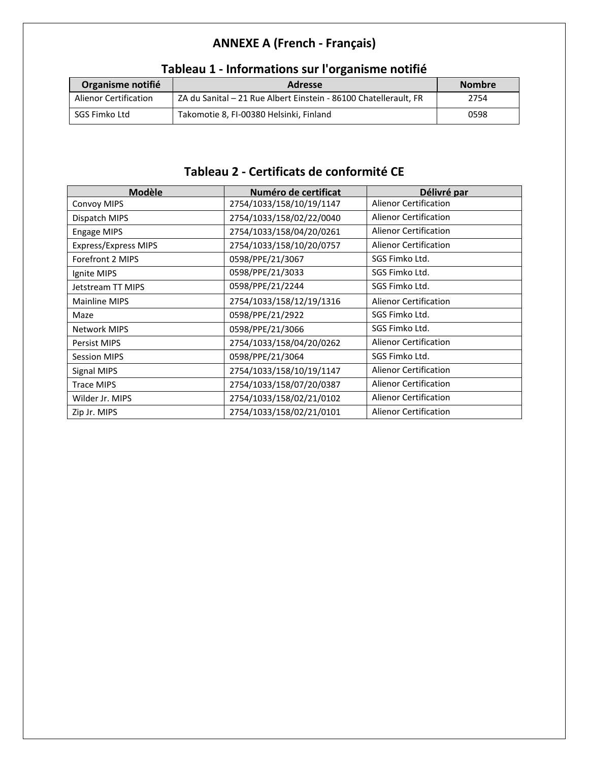## **ANNEXE A (French - Français)**

|                              | . .                                                              |               |
|------------------------------|------------------------------------------------------------------|---------------|
| Organisme notifié            | <b>Adresse</b>                                                   | <b>Nombre</b> |
| <b>Alienor Certification</b> | ZA du Sanital - 21 Rue Albert Einstein - 86100 Chatellerault, FR | 2754          |
| SGS Fimko Ltd                | Takomotie 8, FI-00380 Helsinki, Finland                          | 0598          |

#### **Tableau 1 - Informations sur l'organisme notifié**

#### **Tableau 2 - Certificats de conformité CE**

| <b>Modèle</b>               | Numéro de certificat     | Délivré par                  |
|-----------------------------|--------------------------|------------------------------|
| Convoy MIPS                 | 2754/1033/158/10/19/1147 | <b>Alienor Certification</b> |
| Dispatch MIPS               | 2754/1033/158/02/22/0040 | <b>Alienor Certification</b> |
| <b>Engage MIPS</b>          | 2754/1033/158/04/20/0261 | <b>Alienor Certification</b> |
| <b>Express/Express MIPS</b> | 2754/1033/158/10/20/0757 | <b>Alienor Certification</b> |
| Forefront 2 MIPS            | 0598/PPE/21/3067         | SGS Fimko Ltd.               |
| Ignite MIPS                 | 0598/PPE/21/3033         | SGS Fimko Ltd.               |
| Jetstream TT MIPS           | 0598/PPE/21/2244         | SGS Fimko Ltd.               |
| Mainline MIPS               | 2754/1033/158/12/19/1316 | <b>Alienor Certification</b> |
| Maze                        | 0598/PPE/21/2922         | SGS Fimko Ltd.               |
| <b>Network MIPS</b>         | 0598/PPE/21/3066         | SGS Fimko Ltd.               |
| Persist MIPS                | 2754/1033/158/04/20/0262 | <b>Alienor Certification</b> |
| <b>Session MIPS</b>         | 0598/PPE/21/3064         | SGS Fimko Ltd.               |
| Signal MIPS                 | 2754/1033/158/10/19/1147 | <b>Alienor Certification</b> |
| <b>Trace MIPS</b>           | 2754/1033/158/07/20/0387 | <b>Alienor Certification</b> |
| Wilder Jr. MIPS             | 2754/1033/158/02/21/0102 | <b>Alienor Certification</b> |
| Zip Jr. MIPS                | 2754/1033/158/02/21/0101 | <b>Alienor Certification</b> |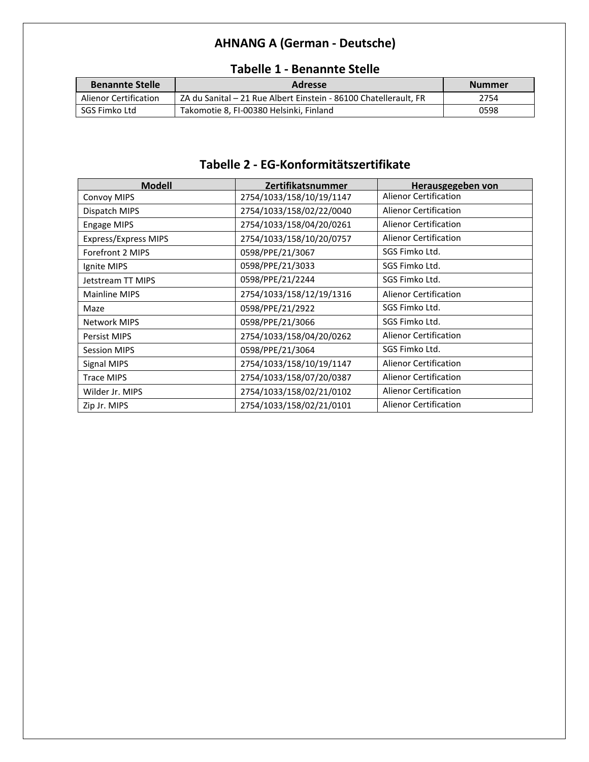## **AHNANG A (German - Deutsche)**

| <b>Benannte Stelle</b> | <b>Adresse</b>                                                   | <b>Nummer</b> |
|------------------------|------------------------------------------------------------------|---------------|
| Alienor Certification  | ZA du Sanital – 21 Rue Albert Einstein - 86100 Chatellerault. FR | 2754          |
| SGS Fimko Ltd          | Takomotie 8, FI-00380 Helsinki, Finland                          | 0598          |

#### **Tabelle 1 - Benannte Stelle**

#### **Tabelle 2 - EG-Konformitätszertifikate**

| <b>Modell</b>        | Zertifikatsnummer        | Herausgegeben von            |
|----------------------|--------------------------|------------------------------|
| <b>Convoy MIPS</b>   | 2754/1033/158/10/19/1147 | <b>Alienor Certification</b> |
| Dispatch MIPS        | 2754/1033/158/02/22/0040 | <b>Alienor Certification</b> |
| <b>Engage MIPS</b>   | 2754/1033/158/04/20/0261 | <b>Alienor Certification</b> |
| Express/Express MIPS | 2754/1033/158/10/20/0757 | Alienor Certification        |
| Forefront 2 MIPS     | 0598/PPE/21/3067         | SGS Fimko Ltd.               |
| Ignite MIPS          | 0598/PPE/21/3033         | SGS Fimko Ltd.               |
| Jetstream TT MIPS    | 0598/PPE/21/2244         | SGS Fimko Ltd.               |
| <b>Mainline MIPS</b> | 2754/1033/158/12/19/1316 | <b>Alienor Certification</b> |
| Maze                 | 0598/PPE/21/2922         | SGS Fimko Ltd.               |
| <b>Network MIPS</b>  | 0598/PPE/21/3066         | SGS Fimko Ltd.               |
| Persist MIPS         | 2754/1033/158/04/20/0262 | <b>Alienor Certification</b> |
| <b>Session MIPS</b>  | 0598/PPE/21/3064         | SGS Fimko Ltd.               |
| Signal MIPS          | 2754/1033/158/10/19/1147 | <b>Alienor Certification</b> |
| <b>Trace MIPS</b>    | 2754/1033/158/07/20/0387 | Alienor Certification        |
| Wilder Jr. MIPS      | 2754/1033/158/02/21/0102 | <b>Alienor Certification</b> |
| Zip Jr. MIPS         | 2754/1033/158/02/21/0101 | <b>Alienor Certification</b> |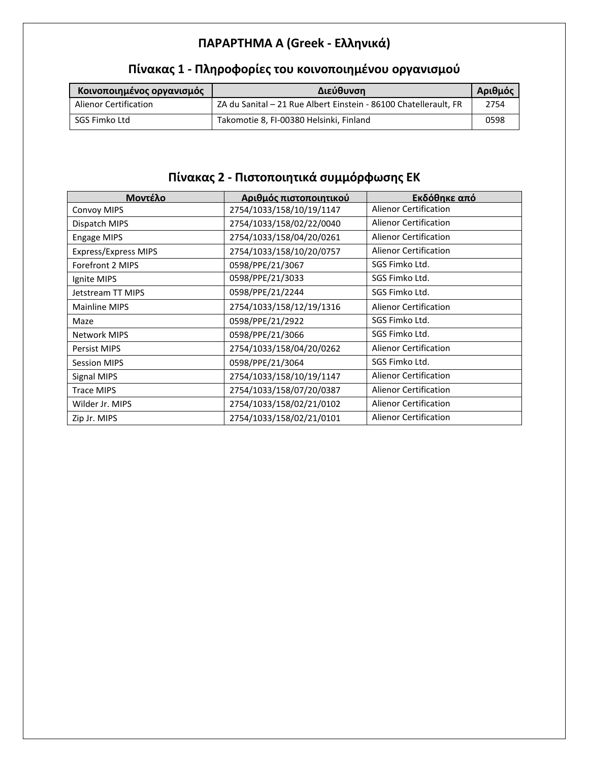## **ΠΑΡΑΡΤΗΜΑ A (Greek - Ελληνικά)**

| Κοινοποιημένος οργανισμός | Διεύθυνση                                                        | Αριθμός |
|---------------------------|------------------------------------------------------------------|---------|
| Alienor Certification     | ZA du Sanital - 21 Rue Albert Einstein - 86100 Chatellerault, FR | 2754    |
| SGS Fimko Ltd             | Takomotie 8, FI-00380 Helsinki, Finland                          | 0598    |

## **Πίνακας 1 - Πληροφορίες του κοινοποιημένου οργανισμού**

## **Πίνακας 2 - Πιστοποιητικά συμμόρφωσης ΕΚ**

| Μοντέλο                     | Αριθμός πιστοποιητικού   | Εκδόθηκε από                 |
|-----------------------------|--------------------------|------------------------------|
| <b>Convoy MIPS</b>          | 2754/1033/158/10/19/1147 | <b>Alienor Certification</b> |
| Dispatch MIPS               | 2754/1033/158/02/22/0040 | <b>Alienor Certification</b> |
| <b>Engage MIPS</b>          | 2754/1033/158/04/20/0261 | <b>Alienor Certification</b> |
| <b>Express/Express MIPS</b> | 2754/1033/158/10/20/0757 | <b>Alienor Certification</b> |
| Forefront 2 MIPS            | 0598/PPE/21/3067         | SGS Fimko Ltd.               |
| Ignite MIPS                 | 0598/PPE/21/3033         | SGS Fimko Ltd.               |
| Jetstream TT MIPS           | 0598/PPE/21/2244         | SGS Fimko Ltd.               |
| Mainline MIPS               | 2754/1033/158/12/19/1316 | <b>Alienor Certification</b> |
| Maze                        | 0598/PPE/21/2922         | SGS Fimko Ltd.               |
| <b>Network MIPS</b>         | 0598/PPE/21/3066         | SGS Fimko Ltd.               |
| <b>Persist MIPS</b>         | 2754/1033/158/04/20/0262 | <b>Alienor Certification</b> |
| <b>Session MIPS</b>         | 0598/PPE/21/3064         | SGS Fimko Ltd.               |
| Signal MIPS                 | 2754/1033/158/10/19/1147 | <b>Alienor Certification</b> |
| <b>Trace MIPS</b>           | 2754/1033/158/07/20/0387 | <b>Alienor Certification</b> |
| Wilder Jr. MIPS             | 2754/1033/158/02/21/0102 | <b>Alienor Certification</b> |
| Zip Jr. MIPS                | 2754/1033/158/02/21/0101 | <b>Alienor Certification</b> |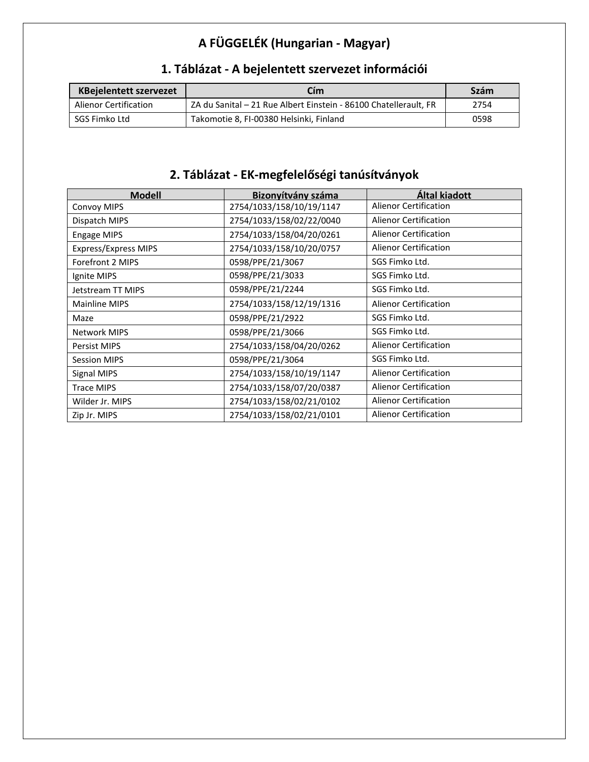## **A FÜGGELÉK (Hungarian - Magyar)**

| <b>KBejelentett szervezet</b> | Cím                                                              | <b>Szám</b> |
|-------------------------------|------------------------------------------------------------------|-------------|
| <b>Alienor Certification</b>  | ZA du Sanital – 21 Rue Albert Einstein - 86100 Chatellerault, FR | 2754        |
| SGS Fimko Ltd                 | Takomotie 8, FI-00380 Helsinki, Finland                          | 0598        |

## **1. Táblázat - A bejelentett szervezet információi**

## **2. Táblázat - EK-megfelelőségi tanúsítványok**

| <b>Modell</b>               | Bizonyítvány száma       | Által kiadott                |
|-----------------------------|--------------------------|------------------------------|
| <b>Convoy MIPS</b>          | 2754/1033/158/10/19/1147 | <b>Alienor Certification</b> |
| Dispatch MIPS               | 2754/1033/158/02/22/0040 | <b>Alienor Certification</b> |
| <b>Engage MIPS</b>          | 2754/1033/158/04/20/0261 | Alienor Certification        |
| <b>Express/Express MIPS</b> | 2754/1033/158/10/20/0757 | <b>Alienor Certification</b> |
| Forefront 2 MIPS            | 0598/PPE/21/3067         | SGS Fimko Ltd.               |
| Ignite MIPS                 | 0598/PPE/21/3033         | SGS Fimko Ltd.               |
| Jetstream TT MIPS           | 0598/PPE/21/2244         | SGS Fimko Ltd.               |
| Mainline MIPS               | 2754/1033/158/12/19/1316 | <b>Alienor Certification</b> |
| Maze                        | 0598/PPE/21/2922         | SGS Fimko Ltd.               |
| <b>Network MIPS</b>         | 0598/PPE/21/3066         | SGS Fimko Ltd.               |
| <b>Persist MIPS</b>         | 2754/1033/158/04/20/0262 | <b>Alienor Certification</b> |
| <b>Session MIPS</b>         | 0598/PPE/21/3064         | SGS Fimko Ltd.               |
| Signal MIPS                 | 2754/1033/158/10/19/1147 | <b>Alienor Certification</b> |
| <b>Trace MIPS</b>           | 2754/1033/158/07/20/0387 | <b>Alienor Certification</b> |
| Wilder Jr. MIPS             | 2754/1033/158/02/21/0102 | <b>Alienor Certification</b> |
| Zip Jr. MIPS                | 2754/1033/158/02/21/0101 | <b>Alienor Certification</b> |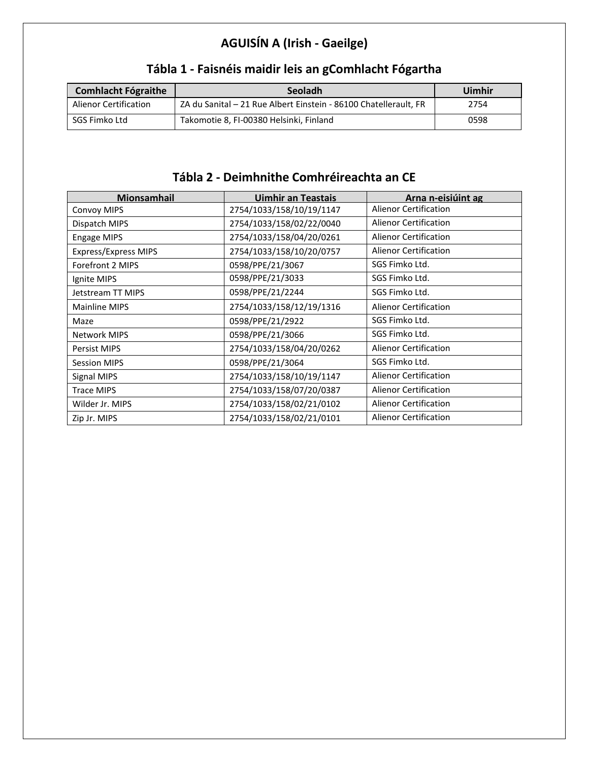## **AGUISÍN A (Irish - Gaeilge)**

| <b>Comhlacht Fógraithe</b> | Seoladh                                                          | Uimhir |
|----------------------------|------------------------------------------------------------------|--------|
| Alienor Certification      | ZA du Sanital - 21 Rue Albert Einstein - 86100 Chatellerault, FR | 2754   |
| SGS Fimko Ltd              | Takomotie 8, FI-00380 Helsinki, Finland                          | 0598   |

## **Tábla 1 - Faisnéis maidir leis an gComhlacht Fógartha**

### **Tábla 2 - Deimhnithe Comhréireachta an CE**

| Mionsamhail                 | <b>Uimhir an Teastais</b> | Arna n-eisiúint ag           |
|-----------------------------|---------------------------|------------------------------|
| <b>Convoy MIPS</b>          | 2754/1033/158/10/19/1147  | <b>Alienor Certification</b> |
| Dispatch MIPS               | 2754/1033/158/02/22/0040  | <b>Alienor Certification</b> |
| <b>Engage MIPS</b>          | 2754/1033/158/04/20/0261  | <b>Alienor Certification</b> |
| <b>Express/Express MIPS</b> | 2754/1033/158/10/20/0757  | <b>Alienor Certification</b> |
| Forefront 2 MIPS            | 0598/PPE/21/3067          | SGS Fimko Ltd.               |
| Ignite MIPS                 | 0598/PPE/21/3033          | SGS Fimko Ltd.               |
| Jetstream TT MIPS           | 0598/PPE/21/2244          | SGS Fimko Ltd.               |
| Mainline MIPS               | 2754/1033/158/12/19/1316  | <b>Alienor Certification</b> |
| Maze                        | 0598/PPE/21/2922          | SGS Fimko Ltd.               |
| <b>Network MIPS</b>         | 0598/PPE/21/3066          | SGS Fimko Ltd.               |
| <b>Persist MIPS</b>         | 2754/1033/158/04/20/0262  | <b>Alienor Certification</b> |
| <b>Session MIPS</b>         | 0598/PPE/21/3064          | SGS Fimko Ltd.               |
| Signal MIPS                 | 2754/1033/158/10/19/1147  | <b>Alienor Certification</b> |
| <b>Trace MIPS</b>           | 2754/1033/158/07/20/0387  | <b>Alienor Certification</b> |
| Wilder Jr. MIPS             | 2754/1033/158/02/21/0102  | <b>Alienor Certification</b> |
| Zip Jr. MIPS                | 2754/1033/158/02/21/0101  | <b>Alienor Certification</b> |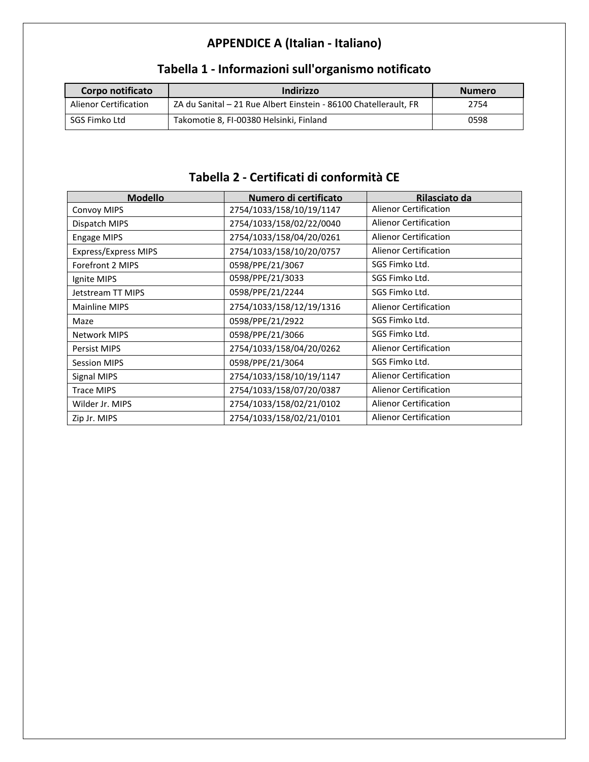# **APPENDICE A (Italian - Italiano)**

| Corpo notificato             | Indirizzo                                                        | <b>Numero</b> |
|------------------------------|------------------------------------------------------------------|---------------|
| <b>Alienor Certification</b> | ZA du Sanital - 21 Rue Albert Einstein - 86100 Chatellerault, FR | 2754          |
| SGS Fimko Ltd                | Takomotie 8, FI-00380 Helsinki, Finland                          | 0598          |

## **Tabella 1 - Informazioni sull'organismo notificato**

## **Tabella 2 - Certificati di conformità CE**

| <b>Modello</b>       | Numero di certificato    | Rilasciato da                |
|----------------------|--------------------------|------------------------------|
| <b>Convoy MIPS</b>   | 2754/1033/158/10/19/1147 | <b>Alienor Certification</b> |
| Dispatch MIPS        | 2754/1033/158/02/22/0040 | Alienor Certification        |
| <b>Engage MIPS</b>   | 2754/1033/158/04/20/0261 | <b>Alienor Certification</b> |
| Express/Express MIPS | 2754/1033/158/10/20/0757 | <b>Alienor Certification</b> |
| Forefront 2 MIPS     | 0598/PPE/21/3067         | SGS Fimko Ltd.               |
| Ignite MIPS          | 0598/PPE/21/3033         | SGS Fimko Ltd.               |
| Jetstream TT MIPS    | 0598/PPE/21/2244         | SGS Fimko Ltd.               |
| Mainline MIPS        | 2754/1033/158/12/19/1316 | <b>Alienor Certification</b> |
| Maze                 | 0598/PPE/21/2922         | SGS Fimko Ltd.               |
| <b>Network MIPS</b>  | 0598/PPE/21/3066         | SGS Fimko Ltd.               |
| <b>Persist MIPS</b>  | 2754/1033/158/04/20/0262 | <b>Alienor Certification</b> |
| <b>Session MIPS</b>  | 0598/PPE/21/3064         | SGS Fimko Ltd.               |
| Signal MIPS          | 2754/1033/158/10/19/1147 | <b>Alienor Certification</b> |
| <b>Trace MIPS</b>    | 2754/1033/158/07/20/0387 | <b>Alienor Certification</b> |
| Wilder Jr. MIPS      | 2754/1033/158/02/21/0102 | <b>Alienor Certification</b> |
| Zip Jr. MIPS         | 2754/1033/158/02/21/0101 | <b>Alienor Certification</b> |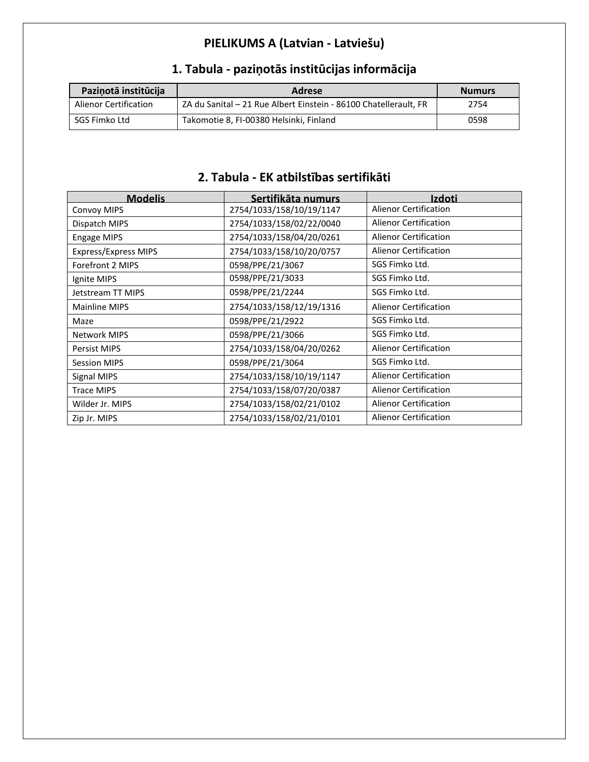## **PIELIKUMS A (Latvian - Latviešu)**

| Pazinotā institūcija  | Adrese                                                           | <b>Numurs</b> |
|-----------------------|------------------------------------------------------------------|---------------|
| Alienor Certification | ZA du Sanital - 21 Rue Albert Einstein - 86100 Chatellerault, FR | 2754          |
| SGS Fimko Ltd         | Takomotie 8, FI-00380 Helsinki, Finland                          | 0598          |

## **1. Tabula - paziņotās institūcijas informācija**

#### **2. Tabula - EK atbilstības sertifikāti**

| <b>Modelis</b>              | Sertifikāta numurs       | Izdoti                       |
|-----------------------------|--------------------------|------------------------------|
| <b>Convoy MIPS</b>          | 2754/1033/158/10/19/1147 | <b>Alienor Certification</b> |
| Dispatch MIPS               | 2754/1033/158/02/22/0040 | <b>Alienor Certification</b> |
| <b>Engage MIPS</b>          | 2754/1033/158/04/20/0261 | <b>Alienor Certification</b> |
| <b>Express/Express MIPS</b> | 2754/1033/158/10/20/0757 | <b>Alienor Certification</b> |
| Forefront 2 MIPS            | 0598/PPE/21/3067         | SGS Fimko Ltd.               |
| Ignite MIPS                 | 0598/PPE/21/3033         | SGS Fimko Ltd.               |
| Jetstream TT MIPS           | 0598/PPE/21/2244         | SGS Fimko Ltd.               |
| Mainline MIPS               | 2754/1033/158/12/19/1316 | <b>Alienor Certification</b> |
| Maze                        | 0598/PPE/21/2922         | SGS Fimko Ltd.               |
| <b>Network MIPS</b>         | 0598/PPE/21/3066         | SGS Fimko Ltd.               |
| <b>Persist MIPS</b>         | 2754/1033/158/04/20/0262 | <b>Alienor Certification</b> |
| <b>Session MIPS</b>         | 0598/PPE/21/3064         | SGS Fimko Ltd.               |
| Signal MIPS                 | 2754/1033/158/10/19/1147 | <b>Alienor Certification</b> |
| <b>Trace MIPS</b>           | 2754/1033/158/07/20/0387 | <b>Alienor Certification</b> |
| Wilder Jr. MIPS             | 2754/1033/158/02/21/0102 | <b>Alienor Certification</b> |
| Zip Jr. MIPS                | 2754/1033/158/02/21/0101 | <b>Alienor Certification</b> |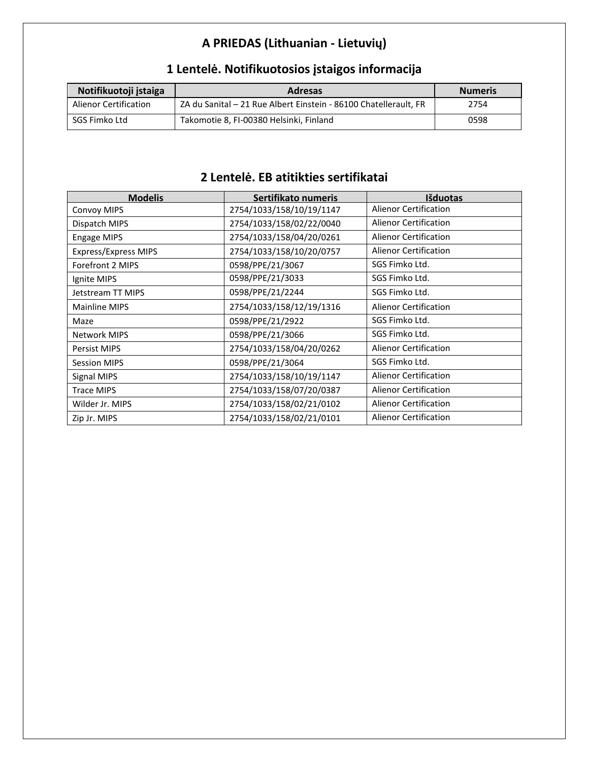## **A PRIEDAS (Lithuanian - Lietuvių)**

| Notifikuotoji įstaiga        | <b>Adresas</b>                                                   | <b>Numeris</b> |
|------------------------------|------------------------------------------------------------------|----------------|
| <b>Alienor Certification</b> | ZA du Sanital - 21 Rue Albert Einstein - 86100 Chatellerault, FR | 2754           |
| SGS Fimko Ltd                | Takomotie 8, FI-00380 Helsinki, Finland                          | 0598           |

## **1 Lentelė. Notifikuotosios įstaigos informacija**

#### **2 Lentelė. EB atitikties sertifikatai**

| <b>Modelis</b>              | Sertifikato numeris      | Išduotas                     |
|-----------------------------|--------------------------|------------------------------|
| <b>Convoy MIPS</b>          | 2754/1033/158/10/19/1147 | <b>Alienor Certification</b> |
| Dispatch MIPS               | 2754/1033/158/02/22/0040 | Alienor Certification        |
| <b>Engage MIPS</b>          | 2754/1033/158/04/20/0261 | <b>Alienor Certification</b> |
| <b>Express/Express MIPS</b> | 2754/1033/158/10/20/0757 | <b>Alienor Certification</b> |
| Forefront 2 MIPS            | 0598/PPE/21/3067         | SGS Fimko Ltd.               |
| Ignite MIPS                 | 0598/PPE/21/3033         | SGS Fimko Ltd.               |
| Jetstream TT MIPS           | 0598/PPE/21/2244         | SGS Fimko Ltd.               |
| Mainline MIPS               | 2754/1033/158/12/19/1316 | <b>Alienor Certification</b> |
| Maze                        | 0598/PPE/21/2922         | SGS Fimko Ltd.               |
| <b>Network MIPS</b>         | 0598/PPE/21/3066         | SGS Fimko Ltd.               |
| <b>Persist MIPS</b>         | 2754/1033/158/04/20/0262 | <b>Alienor Certification</b> |
| <b>Session MIPS</b>         | 0598/PPE/21/3064         | SGS Fimko Ltd.               |
| <b>Signal MIPS</b>          | 2754/1033/158/10/19/1147 | <b>Alienor Certification</b> |
| <b>Trace MIPS</b>           | 2754/1033/158/07/20/0387 | <b>Alienor Certification</b> |
| Wilder Jr. MIPS             | 2754/1033/158/02/21/0102 | <b>Alienor Certification</b> |
| Zip Jr. MIPS                | 2754/1033/158/02/21/0101 | <b>Alienor Certification</b> |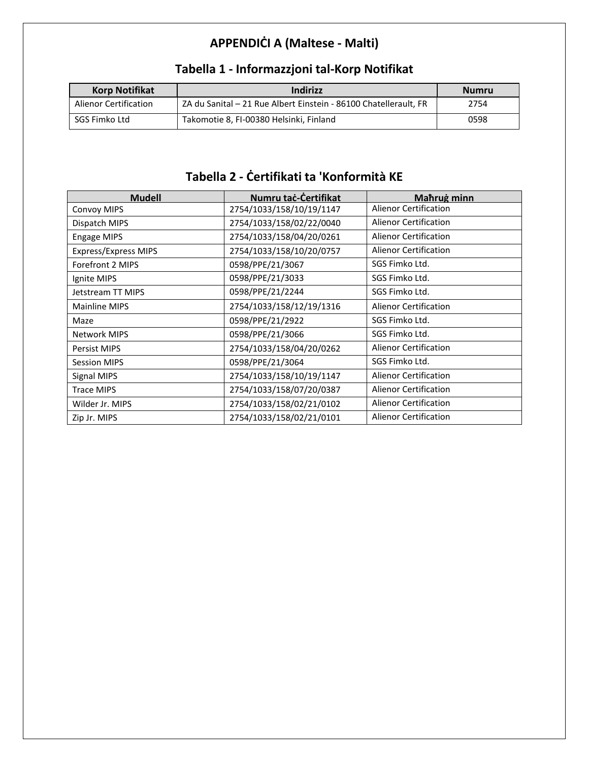## **APPENDIĊI A (Maltese - Malti)**

| <b>Korp Notifikat</b> | Indirizz                                                         | Numru |
|-----------------------|------------------------------------------------------------------|-------|
| Alienor Certification | ZA du Sanital – 21 Rue Albert Einstein - 86100 Chatellerault, FR | 2754  |
| SGS Fimko Ltd         | Takomotie 8, FI-00380 Helsinki, Finland                          | 0598  |

## **Tabella 1 - Informazzjoni tal-Korp Notifikat**

## **Tabella 2 - Ċertifikati ta 'Konformità KE**

| <b>Mudell</b>        | Numru taċ-Certifikat     | Mahrug minn                  |
|----------------------|--------------------------|------------------------------|
| <b>Convoy MIPS</b>   | 2754/1033/158/10/19/1147 | <b>Alienor Certification</b> |
| Dispatch MIPS        | 2754/1033/158/02/22/0040 | Alienor Certification        |
| <b>Engage MIPS</b>   | 2754/1033/158/04/20/0261 | <b>Alienor Certification</b> |
| Express/Express MIPS | 2754/1033/158/10/20/0757 | <b>Alienor Certification</b> |
| Forefront 2 MIPS     | 0598/PPE/21/3067         | SGS Fimko Ltd.               |
| Ignite MIPS          | 0598/PPE/21/3033         | SGS Fimko Ltd.               |
| Jetstream TT MIPS    | 0598/PPE/21/2244         | SGS Fimko Ltd.               |
| Mainline MIPS        | 2754/1033/158/12/19/1316 | <b>Alienor Certification</b> |
| Maze                 | 0598/PPE/21/2922         | SGS Fimko Ltd.               |
| <b>Network MIPS</b>  | 0598/PPE/21/3066         | SGS Fimko Ltd.               |
| <b>Persist MIPS</b>  | 2754/1033/158/04/20/0262 | <b>Alienor Certification</b> |
| <b>Session MIPS</b>  | 0598/PPE/21/3064         | SGS Fimko Ltd.               |
| Signal MIPS          | 2754/1033/158/10/19/1147 | <b>Alienor Certification</b> |
| <b>Trace MIPS</b>    | 2754/1033/158/07/20/0387 | <b>Alienor Certification</b> |
| Wilder Jr. MIPS      | 2754/1033/158/02/21/0102 | <b>Alienor Certification</b> |
| Zip Jr. MIPS         | 2754/1033/158/02/21/0101 | <b>Alienor Certification</b> |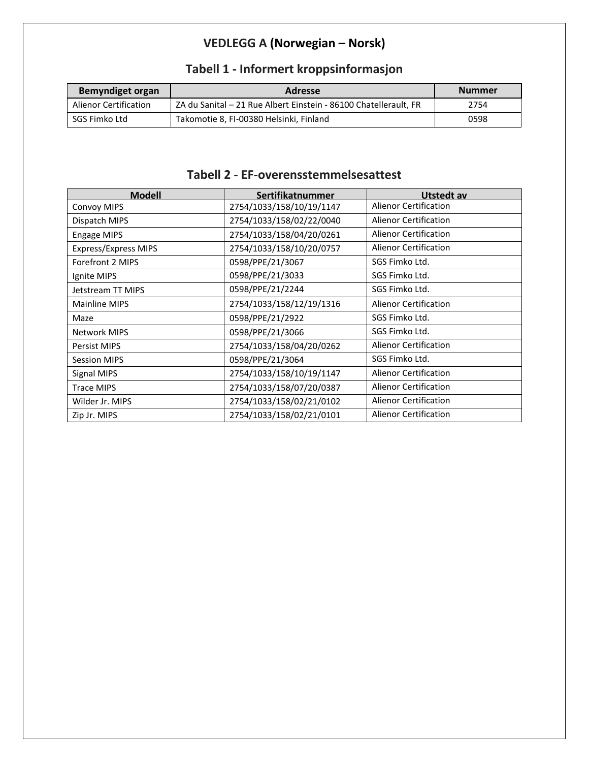## **VEDLEGG A (Norwegian – Norsk)**

| <b>Bemyndiget organ</b> | <b>Adresse</b>                                                   | <b>Nummer</b> |
|-------------------------|------------------------------------------------------------------|---------------|
| Alienor Certification   | ZA du Sanital - 21 Rue Albert Einstein - 86100 Chatellerault, FR | 2754          |
| SGS Fimko Ltd           | Takomotie 8, FI-00380 Helsinki, Finland                          | 0598          |

## **Tabell 1 - Informert kroppsinformasjon**

#### **Tabell 2 - EF-overensstemmelsesattest**

| <b>Modell</b>               | Sertifikatnummer         | Utstedt av                   |
|-----------------------------|--------------------------|------------------------------|
| Convoy MIPS                 | 2754/1033/158/10/19/1147 | <b>Alienor Certification</b> |
| Dispatch MIPS               | 2754/1033/158/02/22/0040 | <b>Alienor Certification</b> |
| Engage MIPS                 | 2754/1033/158/04/20/0261 | <b>Alienor Certification</b> |
| <b>Express/Express MIPS</b> | 2754/1033/158/10/20/0757 | <b>Alienor Certification</b> |
| Forefront 2 MIPS            | 0598/PPE/21/3067         | SGS Fimko Ltd.               |
| Ignite MIPS                 | 0598/PPE/21/3033         | SGS Fimko Ltd.               |
| Jetstream TT MIPS           | 0598/PPE/21/2244         | SGS Fimko Ltd.               |
| <b>Mainline MIPS</b>        | 2754/1033/158/12/19/1316 | <b>Alienor Certification</b> |
| Maze                        | 0598/PPE/21/2922         | SGS Fimko Ltd.               |
| <b>Network MIPS</b>         | 0598/PPE/21/3066         | SGS Fimko Ltd.               |
| <b>Persist MIPS</b>         | 2754/1033/158/04/20/0262 | <b>Alienor Certification</b> |
| <b>Session MIPS</b>         | 0598/PPE/21/3064         | SGS Fimko Ltd.               |
| Signal MIPS                 | 2754/1033/158/10/19/1147 | <b>Alienor Certification</b> |
| <b>Trace MIPS</b>           | 2754/1033/158/07/20/0387 | <b>Alienor Certification</b> |
| Wilder Jr. MIPS             | 2754/1033/158/02/21/0102 | <b>Alienor Certification</b> |
| Zip Jr. MIPS                | 2754/1033/158/02/21/0101 | <b>Alienor Certification</b> |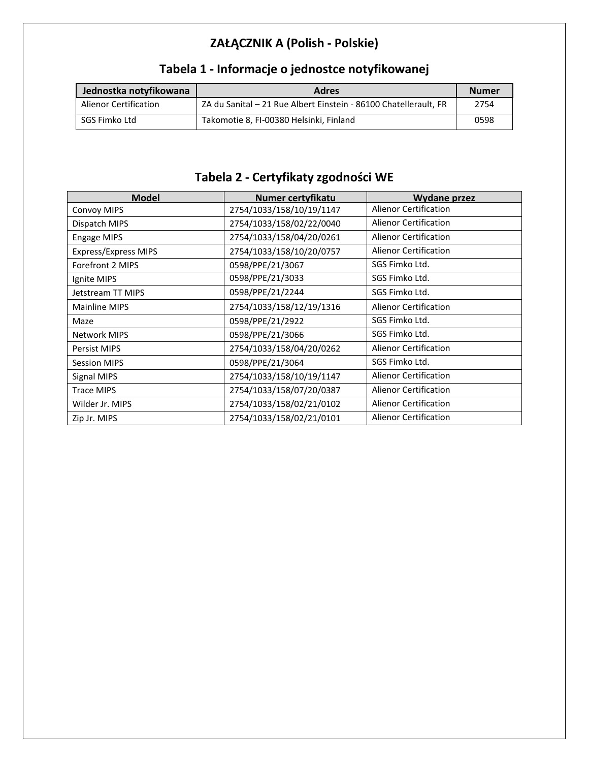## **ZAŁĄCZNIK A (Polish - Polskie)**

| Jednostka notyfikowana       | <b>Adres</b>                                                     | <b>Numer</b> |
|------------------------------|------------------------------------------------------------------|--------------|
| <b>Alienor Certification</b> | ZA du Sanital - 21 Rue Albert Einstein - 86100 Chatellerault, FR | 2754         |
| SGS Fimko Ltd                | Takomotie 8, FI-00380 Helsinki, Finland                          | 0598         |

## **Tabela 1 - Informacje o jednostce notyfikowanej**

## **Tabela 2 - Certyfikaty zgodności WE**

| <b>Model</b>                | Numer certyfikatu        | Wydane przez                 |
|-----------------------------|--------------------------|------------------------------|
| <b>Convoy MIPS</b>          | 2754/1033/158/10/19/1147 | <b>Alienor Certification</b> |
| Dispatch MIPS               | 2754/1033/158/02/22/0040 | <b>Alienor Certification</b> |
| <b>Engage MIPS</b>          | 2754/1033/158/04/20/0261 | Alienor Certification        |
| <b>Express/Express MIPS</b> | 2754/1033/158/10/20/0757 | <b>Alienor Certification</b> |
| Forefront 2 MIPS            | 0598/PPE/21/3067         | SGS Fimko Ltd.               |
| Ignite MIPS                 | 0598/PPE/21/3033         | SGS Fimko Ltd.               |
| Jetstream TT MIPS           | 0598/PPE/21/2244         | SGS Fimko Ltd.               |
| Mainline MIPS               | 2754/1033/158/12/19/1316 | <b>Alienor Certification</b> |
| Maze                        | 0598/PPE/21/2922         | SGS Fimko Ltd.               |
| <b>Network MIPS</b>         | 0598/PPE/21/3066         | SGS Fimko Ltd.               |
| Persist MIPS                | 2754/1033/158/04/20/0262 | <b>Alienor Certification</b> |
| <b>Session MIPS</b>         | 0598/PPE/21/3064         | SGS Fimko Ltd.               |
| Signal MIPS                 | 2754/1033/158/10/19/1147 | <b>Alienor Certification</b> |
| <b>Trace MIPS</b>           | 2754/1033/158/07/20/0387 | <b>Alienor Certification</b> |
| Wilder Jr. MIPS             | 2754/1033/158/02/21/0102 | <b>Alienor Certification</b> |
| Zip Jr. MIPS                | 2754/1033/158/02/21/0101 | <b>Alienor Certification</b> |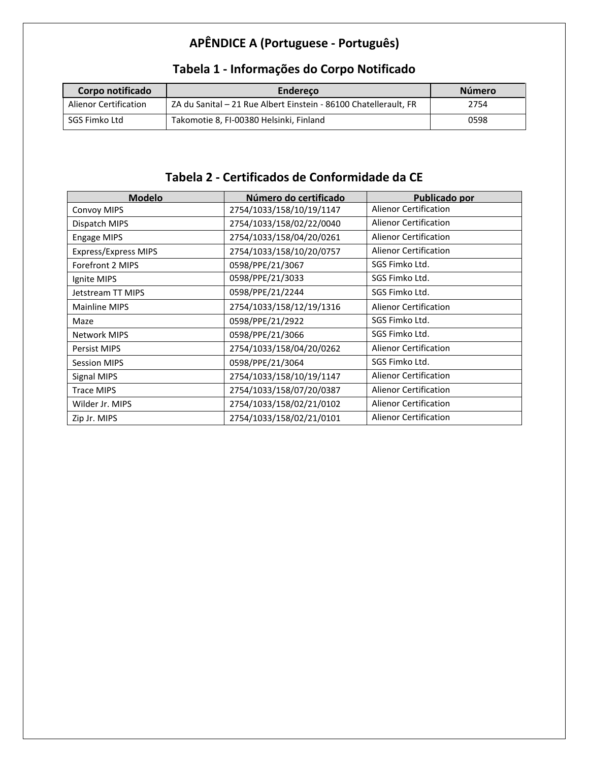## **APÊNDICE A (Portuguese - Português)**

| Corpo notificado             | <b>Endereco</b>                                                  | Número |
|------------------------------|------------------------------------------------------------------|--------|
| <b>Alienor Certification</b> | ZA du Sanital – 21 Rue Albert Einstein - 86100 Chatellerault, FR | 2754   |
| SGS Fimko Ltd                | Takomotie 8, FI-00380 Helsinki, Finland                          | 0598   |

## **Tabela 1 - Informações do Corpo Notificado**

### **Tabela 2 - Certificados de Conformidade da CE**

| <b>Modelo</b>               | Número do certificado    | Publicado por                |
|-----------------------------|--------------------------|------------------------------|
| <b>Convoy MIPS</b>          | 2754/1033/158/10/19/1147 | <b>Alienor Certification</b> |
| Dispatch MIPS               | 2754/1033/158/02/22/0040 | <b>Alienor Certification</b> |
| <b>Engage MIPS</b>          | 2754/1033/158/04/20/0261 | <b>Alienor Certification</b> |
| <b>Express/Express MIPS</b> | 2754/1033/158/10/20/0757 | <b>Alienor Certification</b> |
| Forefront 2 MIPS            | 0598/PPE/21/3067         | SGS Fimko Ltd.               |
| Ignite MIPS                 | 0598/PPE/21/3033         | SGS Fimko Ltd.               |
| Jetstream TT MIPS           | 0598/PPE/21/2244         | SGS Fimko Ltd.               |
| Mainline MIPS               | 2754/1033/158/12/19/1316 | <b>Alienor Certification</b> |
| Maze                        | 0598/PPE/21/2922         | SGS Fimko Ltd.               |
| <b>Network MIPS</b>         | 0598/PPE/21/3066         | SGS Fimko Ltd.               |
| <b>Persist MIPS</b>         | 2754/1033/158/04/20/0262 | <b>Alienor Certification</b> |
| <b>Session MIPS</b>         | 0598/PPE/21/3064         | SGS Fimko Ltd.               |
| Signal MIPS                 | 2754/1033/158/10/19/1147 | <b>Alienor Certification</b> |
| <b>Trace MIPS</b>           | 2754/1033/158/07/20/0387 | <b>Alienor Certification</b> |
| Wilder Jr. MIPS             | 2754/1033/158/02/21/0102 | <b>Alienor Certification</b> |
| Zip Jr. MIPS                | 2754/1033/158/02/21/0101 | <b>Alienor Certification</b> |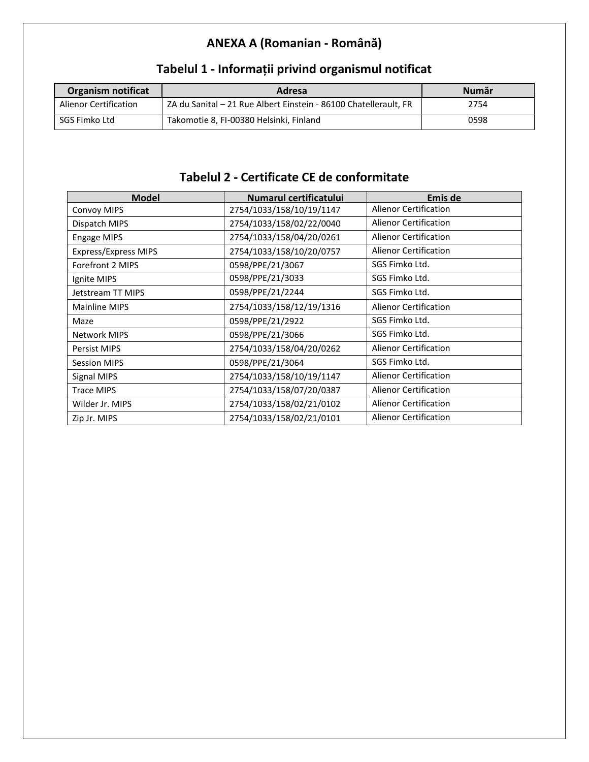## **ANEXA A (Romanian - Română)**

| Organism notificat           | Adresa                                                           | Număr |
|------------------------------|------------------------------------------------------------------|-------|
| <b>Alienor Certification</b> | ZA du Sanital – 21 Rue Albert Einstein - 86100 Chatellerault, FR | 2754  |
| SGS Fimko Ltd                | Takomotie 8, FI-00380 Helsinki, Finland                          | 0598  |

## **Tabelul 1 - Informații privind organismul notificat**

## **Tabelul 2 - Certificate CE de conformitate**

| <b>Model</b>         | Numarul certificatului   | Emis de                      |
|----------------------|--------------------------|------------------------------|
| <b>Convoy MIPS</b>   | 2754/1033/158/10/19/1147 | <b>Alienor Certification</b> |
| Dispatch MIPS        | 2754/1033/158/02/22/0040 | Alienor Certification        |
| <b>Engage MIPS</b>   | 2754/1033/158/04/20/0261 | <b>Alienor Certification</b> |
| Express/Express MIPS | 2754/1033/158/10/20/0757 | <b>Alienor Certification</b> |
| Forefront 2 MIPS     | 0598/PPE/21/3067         | SGS Fimko Ltd.               |
| Ignite MIPS          | 0598/PPE/21/3033         | SGS Fimko Ltd.               |
| Jetstream TT MIPS    | 0598/PPE/21/2244         | SGS Fimko Ltd.               |
| Mainline MIPS        | 2754/1033/158/12/19/1316 | <b>Alienor Certification</b> |
| Maze                 | 0598/PPE/21/2922         | SGS Fimko Ltd.               |
| Network MIPS         | 0598/PPE/21/3066         | SGS Fimko Ltd.               |
| <b>Persist MIPS</b>  | 2754/1033/158/04/20/0262 | <b>Alienor Certification</b> |
| <b>Session MIPS</b>  | 0598/PPE/21/3064         | SGS Fimko Ltd.               |
| Signal MIPS          | 2754/1033/158/10/19/1147 | <b>Alienor Certification</b> |
| <b>Trace MIPS</b>    | 2754/1033/158/07/20/0387 | <b>Alienor Certification</b> |
| Wilder Jr. MIPS      | 2754/1033/158/02/21/0102 | <b>Alienor Certification</b> |
| Zip Jr. MIPS         | 2754/1033/158/02/21/0101 | <b>Alienor Certification</b> |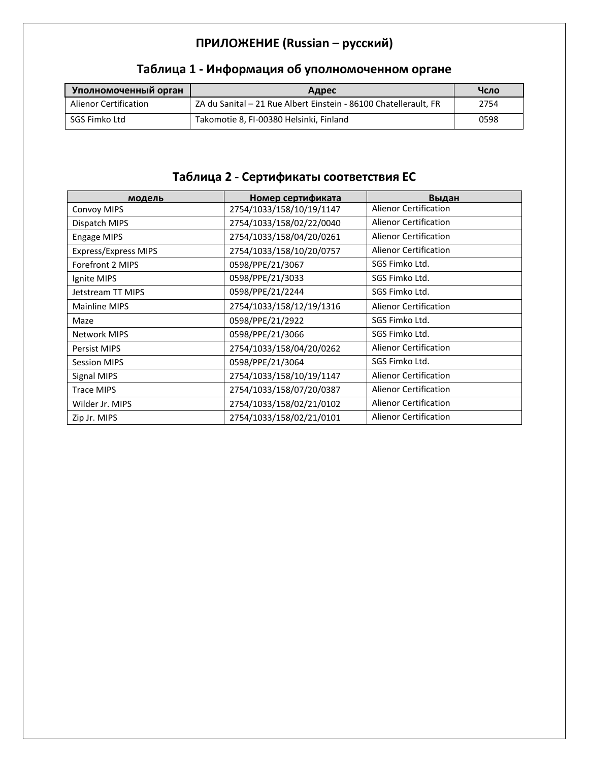## **ПРИЛОЖЕНИЕ (Russian – русский)**

| Уполномоченный орган  | Адрес                                                            | Чсло |
|-----------------------|------------------------------------------------------------------|------|
| Alienor Certification | ZA du Sanital – 21 Rue Albert Einstein - 86100 Chatellerault, FR | 2754 |
| SGS Fimko Ltd         | Takomotie 8, FI-00380 Helsinki, Finland                          | 0598 |

## **Таблица 1 - Информация об уполномоченном органе**

## **Таблица 2 - Сертификаты соответствия ЕС**

| модель               | Номер сертификата        | Выдан                        |
|----------------------|--------------------------|------------------------------|
| <b>Convoy MIPS</b>   | 2754/1033/158/10/19/1147 | <b>Alienor Certification</b> |
| Dispatch MIPS        | 2754/1033/158/02/22/0040 | <b>Alienor Certification</b> |
| <b>Engage MIPS</b>   | 2754/1033/158/04/20/0261 | <b>Alienor Certification</b> |
| Express/Express MIPS | 2754/1033/158/10/20/0757 | <b>Alienor Certification</b> |
| Forefront 2 MIPS     | 0598/PPE/21/3067         | SGS Fimko Ltd.               |
| Ignite MIPS          | 0598/PPE/21/3033         | SGS Fimko Ltd.               |
| Jetstream TT MIPS    | 0598/PPE/21/2244         | SGS Fimko Ltd.               |
| Mainline MIPS        | 2754/1033/158/12/19/1316 | <b>Alienor Certification</b> |
| Maze                 | 0598/PPE/21/2922         | SGS Fimko Ltd.               |
| <b>Network MIPS</b>  | 0598/PPE/21/3066         | SGS Fimko Ltd.               |
| <b>Persist MIPS</b>  | 2754/1033/158/04/20/0262 | <b>Alienor Certification</b> |
| <b>Session MIPS</b>  | 0598/PPE/21/3064         | SGS Fimko Ltd.               |
| Signal MIPS          | 2754/1033/158/10/19/1147 | <b>Alienor Certification</b> |
| <b>Trace MIPS</b>    | 2754/1033/158/07/20/0387 | <b>Alienor Certification</b> |
| Wilder Jr. MIPS      | 2754/1033/158/02/21/0102 | <b>Alienor Certification</b> |
| Zip Jr. MIPS         | 2754/1033/158/02/21/0101 | <b>Alienor Certification</b> |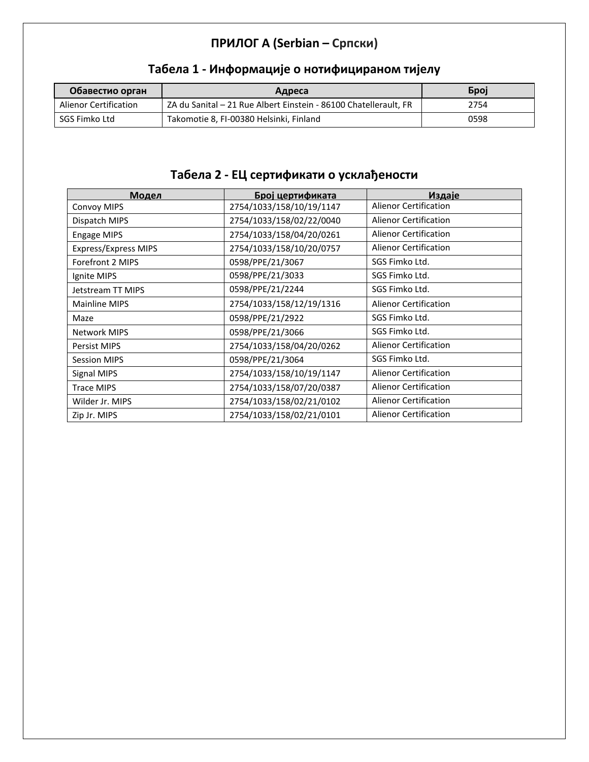## **ПРИЛОГ А (Serbian – Српски)**

| Обавестио орган              | Адреса                                                           | <b>Gpoj</b> |
|------------------------------|------------------------------------------------------------------|-------------|
| <b>Alienor Certification</b> | ZA du Sanital – 21 Rue Albert Einstein - 86100 Chatellerault, FR | 2754        |
| SGS Fimko Ltd                | Takomotie 8, FI-00380 Helsinki, Finland                          | 0598        |

## **Табела 1 - Информације о нотифицираном тијелу**

## **Табела 2 - ЕЦ сертификати о усклађености**

| Модел                       | Број цертификата         | Издаје                       |
|-----------------------------|--------------------------|------------------------------|
| <b>Convoy MIPS</b>          | 2754/1033/158/10/19/1147 | <b>Alienor Certification</b> |
| Dispatch MIPS               | 2754/1033/158/02/22/0040 | <b>Alienor Certification</b> |
| Engage MIPS                 | 2754/1033/158/04/20/0261 | Alienor Certification        |
| <b>Express/Express MIPS</b> | 2754/1033/158/10/20/0757 | <b>Alienor Certification</b> |
| Forefront 2 MIPS            | 0598/PPE/21/3067         | SGS Fimko Ltd.               |
| Ignite MIPS                 | 0598/PPE/21/3033         | SGS Fimko Ltd.               |
| Jetstream TT MIPS           | 0598/PPE/21/2244         | SGS Fimko Ltd.               |
| Mainline MIPS               | 2754/1033/158/12/19/1316 | <b>Alienor Certification</b> |
| Maze                        | 0598/PPE/21/2922         | SGS Fimko Ltd.               |
| <b>Network MIPS</b>         | 0598/PPE/21/3066         | SGS Fimko Ltd.               |
| <b>Persist MIPS</b>         | 2754/1033/158/04/20/0262 | <b>Alienor Certification</b> |
| <b>Session MIPS</b>         | 0598/PPE/21/3064         | SGS Fimko Ltd.               |
| Signal MIPS                 | 2754/1033/158/10/19/1147 | <b>Alienor Certification</b> |
| <b>Trace MIPS</b>           | 2754/1033/158/07/20/0387 | <b>Alienor Certification</b> |
| Wilder Jr. MIPS             | 2754/1033/158/02/21/0102 | <b>Alienor Certification</b> |
| Zip Jr. MIPS                | 2754/1033/158/02/21/0101 | <b>Alienor Certification</b> |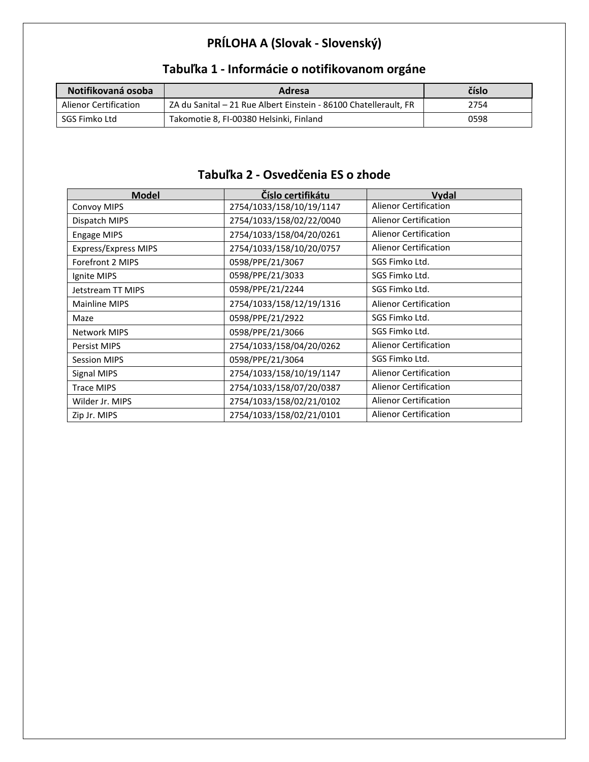## **PRÍLOHA A (Slovak - Slovenský)**

| Notifikovaná osoba    | Adresa                                                           | číslo |
|-----------------------|------------------------------------------------------------------|-------|
| Alienor Certification | ZA du Sanital – 21 Rue Albert Einstein - 86100 Chatellerault, FR | 2754  |
| SGS Fimko Ltd         | Takomotie 8, FI-00380 Helsinki, Finland                          | 0598  |

## **Tabuľka 1 - Informácie o notifikovanom orgáne**

#### **Tabuľka 2 - Osvedčenia ES o zhode**

| <b>Model</b>                | Číslo certifikátu        | Vydal                        |
|-----------------------------|--------------------------|------------------------------|
| Convoy MIPS                 | 2754/1033/158/10/19/1147 | <b>Alienor Certification</b> |
| Dispatch MIPS               | 2754/1033/158/02/22/0040 | <b>Alienor Certification</b> |
| Engage MIPS                 | 2754/1033/158/04/20/0261 | <b>Alienor Certification</b> |
| <b>Express/Express MIPS</b> | 2754/1033/158/10/20/0757 | <b>Alienor Certification</b> |
| Forefront 2 MIPS            | 0598/PPE/21/3067         | SGS Fimko Ltd.               |
| Ignite MIPS                 | 0598/PPE/21/3033         | SGS Fimko Ltd.               |
| Jetstream TT MIPS           | 0598/PPE/21/2244         | SGS Fimko Ltd.               |
| <b>Mainline MIPS</b>        | 2754/1033/158/12/19/1316 | <b>Alienor Certification</b> |
| Maze                        | 0598/PPE/21/2922         | SGS Fimko Ltd.               |
| <b>Network MIPS</b>         | 0598/PPE/21/3066         | SGS Fimko Ltd.               |
| <b>Persist MIPS</b>         | 2754/1033/158/04/20/0262 | <b>Alienor Certification</b> |
| <b>Session MIPS</b>         | 0598/PPE/21/3064         | SGS Fimko Ltd.               |
| Signal MIPS                 | 2754/1033/158/10/19/1147 | <b>Alienor Certification</b> |
| <b>Trace MIPS</b>           | 2754/1033/158/07/20/0387 | <b>Alienor Certification</b> |
| Wilder Jr. MIPS             | 2754/1033/158/02/21/0102 | <b>Alienor Certification</b> |
| Zip Jr. MIPS                | 2754/1033/158/02/21/0101 | <b>Alienor Certification</b> |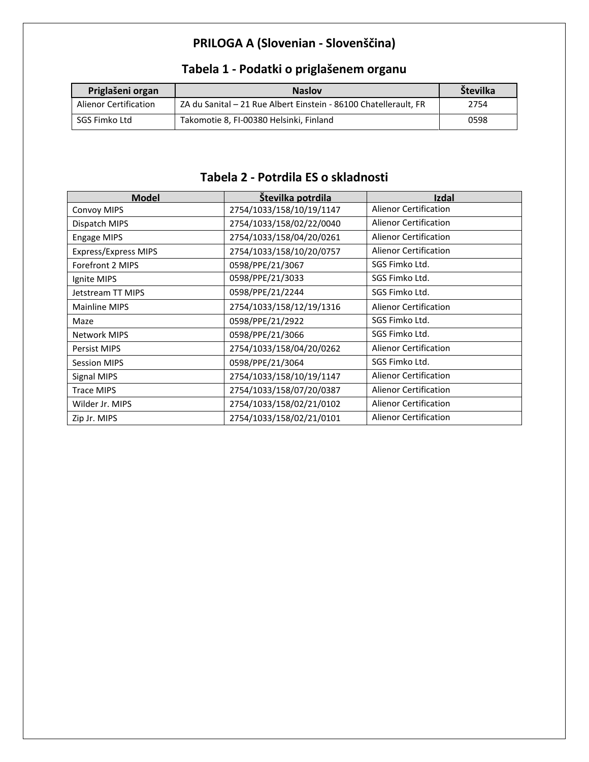## **PRILOGA A (Slovenian - Slovenščina)**

| Priglašeni organ      | <b>Naslov</b>                                                    | Številka |
|-----------------------|------------------------------------------------------------------|----------|
| Alienor Certification | ZA du Sanital - 21 Rue Albert Einstein - 86100 Chatellerault, FR | 2754     |
| SGS Fimko Ltd         | Takomotie 8, FI-00380 Helsinki, Finland                          | 0598     |

## **Tabela 1 - Podatki o priglašenem organu**

#### **Tabela 2 - Potrdila ES o skladnosti**

| <b>Model</b>                | Številka potrdila        | Izdal                        |
|-----------------------------|--------------------------|------------------------------|
| <b>Convoy MIPS</b>          | 2754/1033/158/10/19/1147 | <b>Alienor Certification</b> |
| Dispatch MIPS               | 2754/1033/158/02/22/0040 | <b>Alienor Certification</b> |
| <b>Engage MIPS</b>          | 2754/1033/158/04/20/0261 | Alienor Certification        |
| <b>Express/Express MIPS</b> | 2754/1033/158/10/20/0757 | <b>Alienor Certification</b> |
| Forefront 2 MIPS            | 0598/PPE/21/3067         | SGS Fimko Ltd.               |
| Ignite MIPS                 | 0598/PPE/21/3033         | SGS Fimko Ltd.               |
| Jetstream TT MIPS           | 0598/PPE/21/2244         | SGS Fimko Ltd.               |
| Mainline MIPS               | 2754/1033/158/12/19/1316 | <b>Alienor Certification</b> |
| Maze                        | 0598/PPE/21/2922         | SGS Fimko Ltd.               |
| <b>Network MIPS</b>         | 0598/PPE/21/3066         | SGS Fimko Ltd.               |
| Persist MIPS                | 2754/1033/158/04/20/0262 | <b>Alienor Certification</b> |
| <b>Session MIPS</b>         | 0598/PPE/21/3064         | SGS Fimko Ltd.               |
| Signal MIPS                 | 2754/1033/158/10/19/1147 | <b>Alienor Certification</b> |
| <b>Trace MIPS</b>           | 2754/1033/158/07/20/0387 | <b>Alienor Certification</b> |
| Wilder Jr. MIPS             | 2754/1033/158/02/21/0102 | <b>Alienor Certification</b> |
| Zip Jr. MIPS                | 2754/1033/158/02/21/0101 | <b>Alienor Certification</b> |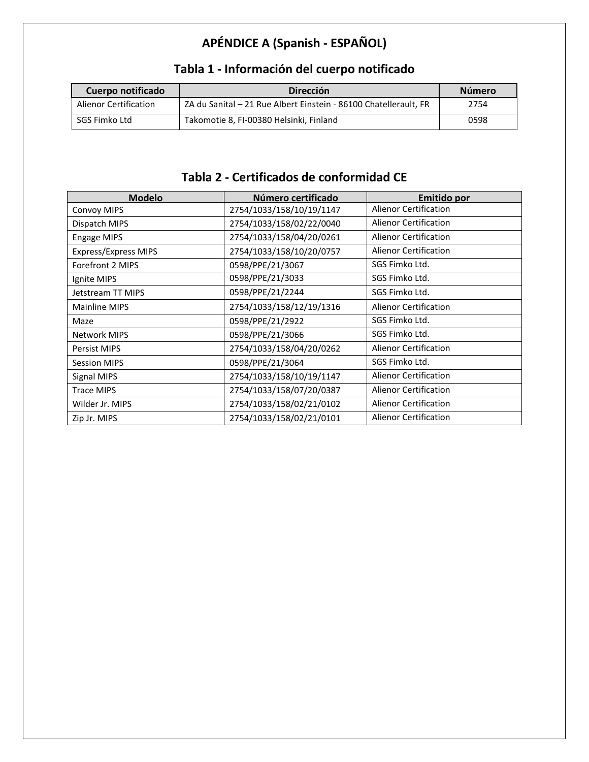# **APÉNDICE A (Spanish - ESPAÑOL)**

| Cuerpo notificado            | <b>Dirección</b>                                                 | Número |
|------------------------------|------------------------------------------------------------------|--------|
| <b>Alienor Certification</b> | ZA du Sanital - 21 Rue Albert Einstein - 86100 Chatellerault, FR | 2754   |
| SGS Fimko Ltd                | Takomotie 8, FI-00380 Helsinki, Finland                          | 0598   |

## **Tabla 1 - Información del cuerpo notificado**

### **Tabla 2 - Certificados de conformidad CE**

| <b>Modelo</b>        | Número certificado       | Emitido por                  |
|----------------------|--------------------------|------------------------------|
| <b>Convoy MIPS</b>   | 2754/1033/158/10/19/1147 | <b>Alienor Certification</b> |
| Dispatch MIPS        | 2754/1033/158/02/22/0040 | Alienor Certification        |
| Engage MIPS          | 2754/1033/158/04/20/0261 | <b>Alienor Certification</b> |
| Express/Express MIPS | 2754/1033/158/10/20/0757 | <b>Alienor Certification</b> |
| Forefront 2 MIPS     | 0598/PPE/21/3067         | SGS Fimko Ltd.               |
| Ignite MIPS          | 0598/PPE/21/3033         | SGS Fimko Ltd.               |
| Jetstream TT MIPS    | 0598/PPE/21/2244         | SGS Fimko Ltd.               |
| Mainline MIPS        | 2754/1033/158/12/19/1316 | <b>Alienor Certification</b> |
| Maze                 | 0598/PPE/21/2922         | SGS Fimko Ltd.               |
| <b>Network MIPS</b>  | 0598/PPE/21/3066         | SGS Fimko Ltd.               |
| <b>Persist MIPS</b>  | 2754/1033/158/04/20/0262 | <b>Alienor Certification</b> |
| <b>Session MIPS</b>  | 0598/PPE/21/3064         | SGS Fimko Ltd.               |
| Signal MIPS          | 2754/1033/158/10/19/1147 | <b>Alienor Certification</b> |
| <b>Trace MIPS</b>    | 2754/1033/158/07/20/0387 | <b>Alienor Certification</b> |
| Wilder Jr. MIPS      | 2754/1033/158/02/21/0102 | <b>Alienor Certification</b> |
| Zip Jr. MIPS         | 2754/1033/158/02/21/0101 | <b>Alienor Certification</b> |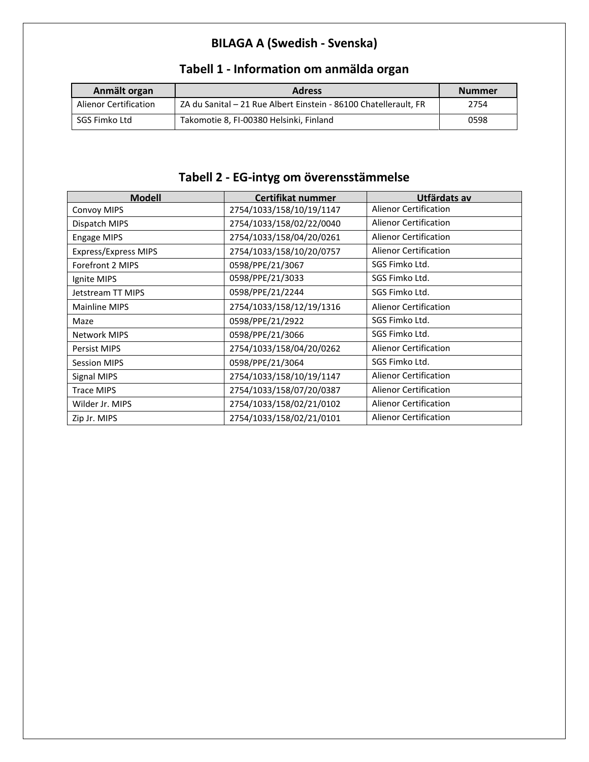## **BILAGA A (Swedish - Svenska)**

| Anmält organ          | <b>Adress</b>                                                    | <b>Nummer</b> |
|-----------------------|------------------------------------------------------------------|---------------|
| Alienor Certification | ZA du Sanital - 21 Rue Albert Einstein - 86100 Chatellerault, FR | 2754          |
| SGS Fimko Ltd         | Takomotie 8, FI-00380 Helsinki, Finland                          | 0598          |

## **Tabell 1 - Information om anmälda organ**

## **Tabell 2 - EG-intyg om överensstämmelse**

| <b>Modell</b>               | <b>Certifikat nummer</b> | Utfärdats av                 |
|-----------------------------|--------------------------|------------------------------|
| Convoy MIPS                 | 2754/1033/158/10/19/1147 | <b>Alienor Certification</b> |
| Dispatch MIPS               | 2754/1033/158/02/22/0040 | Alienor Certification        |
| <b>Engage MIPS</b>          | 2754/1033/158/04/20/0261 | <b>Alienor Certification</b> |
| <b>Express/Express MIPS</b> | 2754/1033/158/10/20/0757 | <b>Alienor Certification</b> |
| Forefront 2 MIPS            | 0598/PPE/21/3067         | SGS Fimko Ltd.               |
| Ignite MIPS                 | 0598/PPE/21/3033         | SGS Fimko Ltd.               |
| Jetstream TT MIPS           | 0598/PPE/21/2244         | SGS Fimko Ltd.               |
| Mainline MIPS               | 2754/1033/158/12/19/1316 | <b>Alienor Certification</b> |
| Maze                        | 0598/PPE/21/2922         | SGS Fimko Ltd.               |
| <b>Network MIPS</b>         | 0598/PPE/21/3066         | SGS Fimko Ltd.               |
| <b>Persist MIPS</b>         | 2754/1033/158/04/20/0262 | <b>Alienor Certification</b> |
| <b>Session MIPS</b>         | 0598/PPE/21/3064         | SGS Fimko Ltd.               |
| Signal MIPS                 | 2754/1033/158/10/19/1147 | <b>Alienor Certification</b> |
| <b>Trace MIPS</b>           | 2754/1033/158/07/20/0387 | <b>Alienor Certification</b> |
| Wilder Jr. MIPS             | 2754/1033/158/02/21/0102 | <b>Alienor Certification</b> |
| Zip Jr. MIPS                | 2754/1033/158/02/21/0101 | <b>Alienor Certification</b> |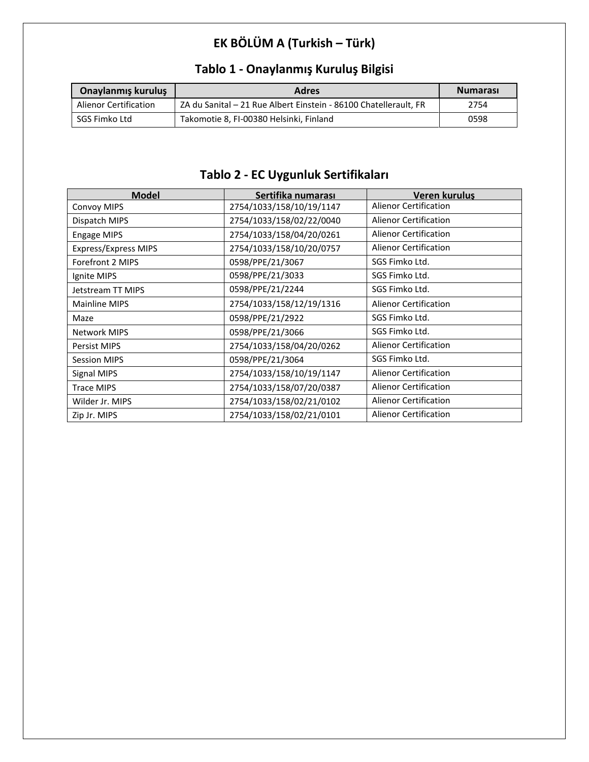## **EK BÖLÜM A (Turkish – Türk)**

| <b>Onaylanmış kuruluş</b>    | <b>Adres</b>                                                     | <b>Numarası</b> |
|------------------------------|------------------------------------------------------------------|-----------------|
| <b>Alienor Certification</b> | ZA du Sanital - 21 Rue Albert Einstein - 86100 Chatellerault, FR | 2754            |
| SGS Fimko Ltd                | Takomotie 8, FI-00380 Helsinki, Finland                          | 0598            |

## **Tablo 1 - Onaylanmış Kuruluş Bilgisi**

## **Tablo 2 - EC Uygunluk Sertifikaları**

| <b>Model</b>                | Sertifika numarası       | Veren kurulus                |
|-----------------------------|--------------------------|------------------------------|
| <b>Convoy MIPS</b>          | 2754/1033/158/10/19/1147 | <b>Alienor Certification</b> |
| Dispatch MIPS               | 2754/1033/158/02/22/0040 | <b>Alienor Certification</b> |
| <b>Engage MIPS</b>          | 2754/1033/158/04/20/0261 | <b>Alienor Certification</b> |
| <b>Express/Express MIPS</b> | 2754/1033/158/10/20/0757 | <b>Alienor Certification</b> |
| Forefront 2 MIPS            | 0598/PPE/21/3067         | SGS Fimko Ltd.               |
| Ignite MIPS                 | 0598/PPE/21/3033         | SGS Fimko Ltd.               |
| Jetstream TT MIPS           | 0598/PPE/21/2244         | SGS Fimko Ltd.               |
| <b>Mainline MIPS</b>        | 2754/1033/158/12/19/1316 | <b>Alienor Certification</b> |
| Maze                        | 0598/PPE/21/2922         | SGS Fimko Ltd.               |
| <b>Network MIPS</b>         | 0598/PPE/21/3066         | SGS Fimko Ltd.               |
| Persist MIPS                | 2754/1033/158/04/20/0262 | <b>Alienor Certification</b> |
| <b>Session MIPS</b>         | 0598/PPE/21/3064         | SGS Fimko Ltd.               |
| Signal MIPS                 | 2754/1033/158/10/19/1147 | <b>Alienor Certification</b> |
| <b>Trace MIPS</b>           | 2754/1033/158/07/20/0387 | <b>Alienor Certification</b> |
| Wilder Jr. MIPS             | 2754/1033/158/02/21/0102 | <b>Alienor Certification</b> |
| Zip Jr. MIPS                | 2754/1033/158/02/21/0101 | <b>Alienor Certification</b> |